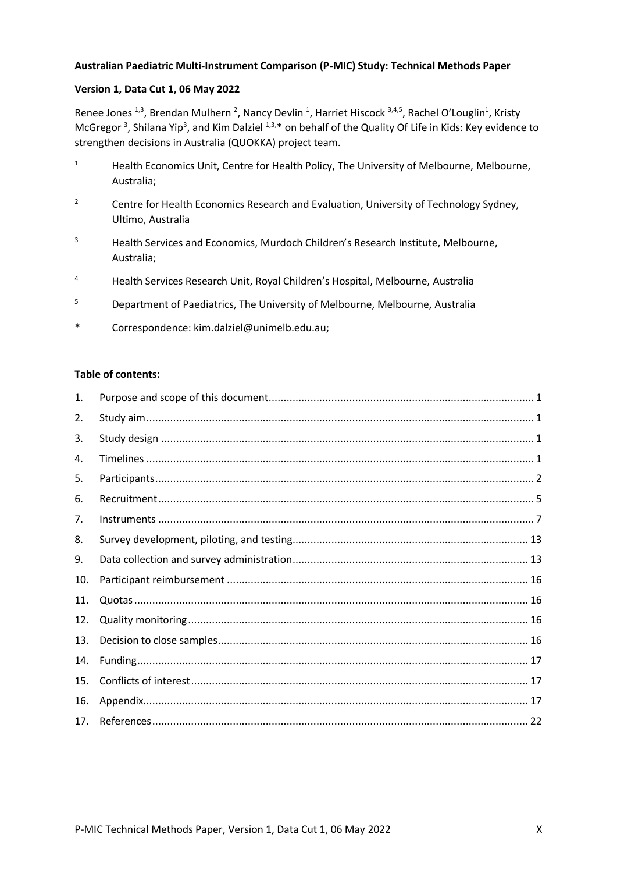#### **Australian Paediatric Multi-Instrument Comparison (P-MIC) Study: Technical Methods Paper**

#### **Version 1, Data Cut 1, 06 May 2022**

Renee Jones<sup>1,3</sup>, Brendan Mulhern<sup>2</sup>, Nancy Devlin<sup>1</sup>, Harriet Hiscock<sup>3,4,5</sup>, Rachel O'Louglin<sup>1</sup>, Kristy McGregor<sup>3</sup>, Shilana Yip<sup>3</sup>, and Kim Dalziel <sup>1,3,\*</sup> on behalf of the Quality Of Life in Kids: Key evidence to strengthen decisions in Australia (QUOKKA) project team.

- <sup>1</sup> Health Economics Unit, Centre for Health Policy, The University of Melbourne, Melbourne, Australia;
- <sup>2</sup> Centre for Health Economics Research and Evaluation, University of Technology Sydney, Ultimo, Australia
- <sup>3</sup> Health Services and Economics, Murdoch Children's Research Institute, Melbourne, Australia;
- <sup>4</sup> Health Services Research Unit, Royal Children's Hospital, Melbourne, Australia
- <sup>5</sup> Department of Paediatrics, The University of Melbourne, Melbourne, Australia
- \* Correspondence: kim.dalziel@unimelb.edu.au;

#### **Table of contents:**

| 1.  |  |
|-----|--|
| 2.  |  |
| 3.  |  |
| 4.  |  |
| 5.  |  |
| 6.  |  |
| 7.  |  |
| 8.  |  |
| 9.  |  |
| 10. |  |
| 11. |  |
| 12. |  |
| 13. |  |
| 14. |  |
| 15. |  |
| 16. |  |
| 17. |  |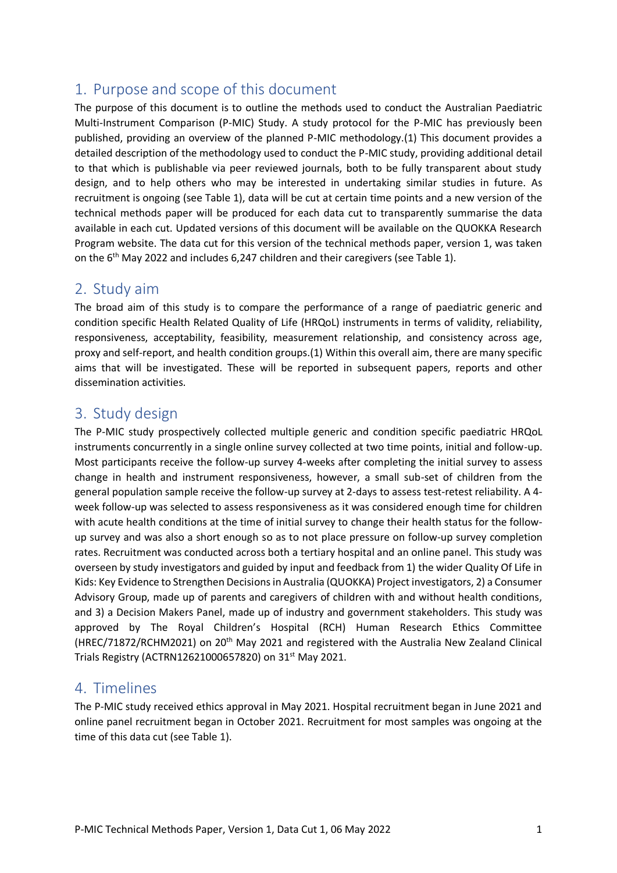# <span id="page-1-0"></span>1. Purpose and scope of this document

The purpose of this document is to outline the methods used to conduct the Australian Paediatric Multi-Instrument Comparison (P-MIC) Study. A study protocol for the P-MIC has previously been published, providing an overview of the planned P-MIC methodology.(1) This document provides a detailed description of the methodology used to conduct the P-MIC study, providing additional detail to that which is publishable via peer reviewed journals, both to be fully transparent about study design, and to help others who may be interested in undertaking similar studies in future. As recruitment is ongoing (see Table 1), data will be cut at certain time points and a new version of the technical methods paper will be produced for each data cut to transparently summarise the data available in each cut. Updated versions of this document will be available on the QUOKKA Research Program website. The data cut for this version of the technical methods paper, version 1, was taken on the 6th May 2022 and includes 6,247 children and their caregivers (see Table 1).

## <span id="page-1-1"></span>2. Study aim

The broad aim of this study is to compare the performance of a range of paediatric generic and condition specific Health Related Quality of Life (HRQoL) instruments in terms of validity, reliability, responsiveness, acceptability, feasibility, measurement relationship, and consistency across age, proxy and self-report, and health condition groups.(1) Within this overall aim, there are many specific aims that will be investigated. These will be reported in subsequent papers, reports and other dissemination activities.

# <span id="page-1-2"></span>3. Study design

The P-MIC study prospectively collected multiple generic and condition specific paediatric HRQoL instruments concurrently in a single online survey collected at two time points, initial and follow-up. Most participants receive the follow-up survey 4-weeks after completing the initial survey to assess change in health and instrument responsiveness, however, a small sub-set of children from the general population sample receive the follow-up survey at 2-days to assess test-retest reliability. A 4 week follow-up was selected to assess responsiveness as it was considered enough time for children with acute health conditions at the time of initial survey to change their health status for the followup survey and was also a short enough so as to not place pressure on follow-up survey completion rates. Recruitment was conducted across both a tertiary hospital and an online panel. This study was overseen by study investigators and guided by input and feedback from 1) the wider Quality Of Life in Kids: Key Evidence to Strengthen Decisions in Australia (QUOKKA) Project investigators, 2) a Consumer Advisory Group, made up of parents and caregivers of children with and without health conditions, and 3) a Decision Makers Panel, made up of industry and government stakeholders. This study was approved by The Royal Children's Hospital (RCH) Human Research Ethics Committee (HREC/71872/RCHM2021) on 20th May 2021 and registered with the Australia New Zealand Clinical Trials Registry (ACTRN12621000657820) on 31st May 2021.

## <span id="page-1-3"></span>4. Timelines

The P-MIC study received ethics approval in May 2021. Hospital recruitment began in June 2021 and online panel recruitment began in October 2021. Recruitment for most samples was ongoing at the time of this data cut (see Table 1).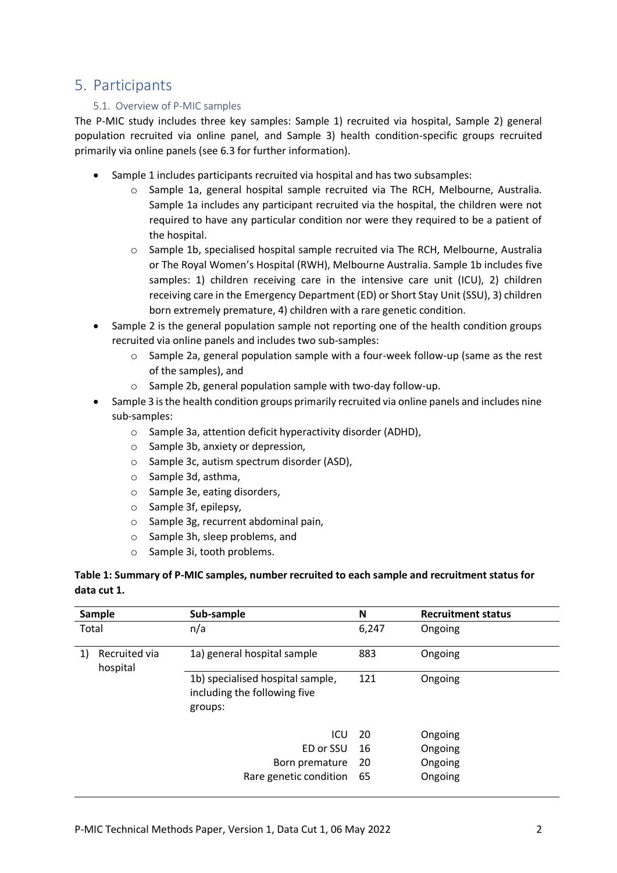## <span id="page-2-0"></span>5. Participants

### 5.1. Overview of P-MIC samples

The P-MIC study includes three key samples: Sample 1) recruited via hospital, Sample 2) general population recruited via online panel, and Sample 3) health condition-specific groups recruited primarily via online panels (see 6.3 for further information).

- Sample 1 includes participants recruited via hospital and has two subsamples:
	- o Sample 1a, general hospital sample recruited via The RCH, Melbourne, Australia. Sample 1a includes any participant recruited via the hospital, the children were not required to have any particular condition nor were they required to be a patient of the hospital.
	- $\circ$  Sample 1b, specialised hospital sample recruited via The RCH, Melbourne, Australia or The Royal Women's Hospital (RWH), Melbourne Australia. Sample 1b includes five samples: 1) children receiving care in the intensive care unit (ICU), 2) children receiving care in the Emergency Department (ED) or Short Stay Unit (SSU), 3) children born extremely premature, 4) children with a rare genetic condition.
- Sample 2 is the general population sample not reporting one of the health condition groups recruited via online panels and includes two sub-samples:
	- o Sample 2a, general population sample with a four-week follow-up (same as the rest of the samples), and
	- o Sample 2b, general population sample with two-day follow-up.
- Sample 3 is the health condition groups primarily recruited via online panels and includes nine sub-samples:
	- o Sample 3a, attention deficit hyperactivity disorder (ADHD),
	- o Sample 3b, anxiety or depression,
	- o Sample 3c, autism spectrum disorder (ASD),
	- o Sample 3d, asthma,
	- o Sample 3e, eating disorders,
	- o Sample 3f, epilepsy,
	- o Sample 3g, recurrent abdominal pain,
	- o Sample 3h, sleep problems, and
	- o Sample 3i, tooth problems.

### **Table 1: Summary of P-MIC samples, number recruited to each sample and recruitment status for data cut 1.**

| Sample |                           | Sub-sample                                                                  | N     | <b>Recruitment status</b> |
|--------|---------------------------|-----------------------------------------------------------------------------|-------|---------------------------|
| Total  |                           | n/a                                                                         | 6,247 | Ongoing                   |
| 1)     | Recruited via<br>hospital | 1a) general hospital sample                                                 | 883   | Ongoing                   |
|        |                           | 1b) specialised hospital sample,<br>including the following five<br>groups: | 121   | Ongoing                   |
|        |                           | ICU                                                                         | 20    | Ongoing                   |
|        |                           | ED or SSU                                                                   | 16    | Ongoing                   |
|        |                           | Born premature                                                              | 20    | Ongoing                   |
|        |                           | Rare genetic condition                                                      | 65    | Ongoing                   |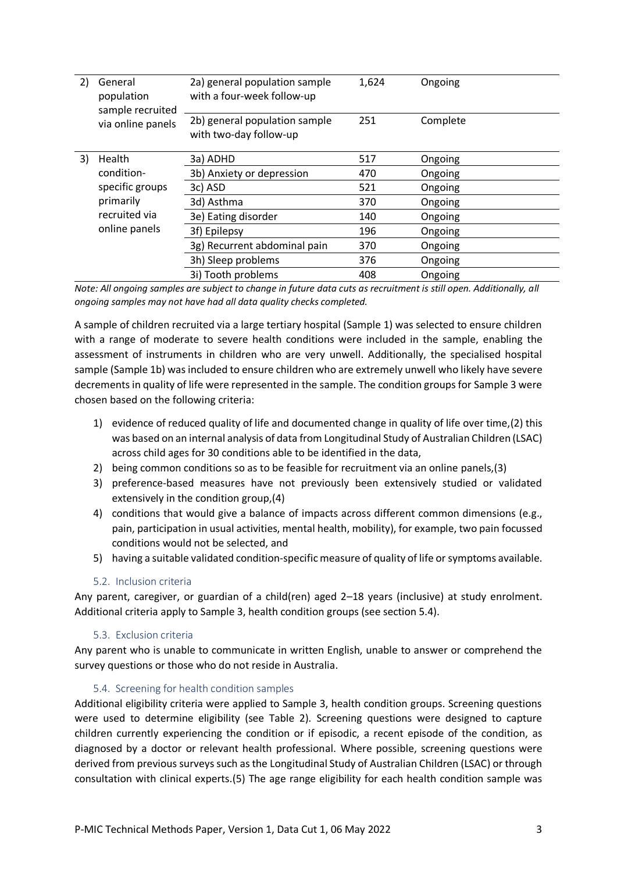| 2)        | General<br>population<br>sample recruited | 2a) general population sample<br>with a four-week follow-up | 1,624 | Ongoing  |
|-----------|-------------------------------------------|-------------------------------------------------------------|-------|----------|
|           | via online panels                         | 2b) general population sample<br>with two-day follow-up     | 251   | Complete |
| 3)        | Health                                    | 3a) ADHD                                                    | 517   | Ongoing  |
|           | condition-                                | 3b) Anxiety or depression                                   | 470   | Ongoing  |
| primarily | specific groups                           | 3c) ASD                                                     | 521   | Ongoing  |
|           |                                           | 3d) Asthma                                                  | 370   | Ongoing  |
|           | recruited via                             | 3e) Eating disorder                                         | 140   | Ongoing  |
|           | online panels                             | 3f) Epilepsy                                                | 196   | Ongoing  |
|           |                                           | 3g) Recurrent abdominal pain                                | 370   | Ongoing  |
|           |                                           | 3h) Sleep problems                                          | 376   | Ongoing  |
|           |                                           | 3i) Tooth problems                                          | 408   | Ongoing  |

*Note: All ongoing samples are subject to change in future data cuts as recruitment is still open. Additionally, all ongoing samples may not have had all data quality checks completed.*

A sample of children recruited via a large tertiary hospital (Sample 1) was selected to ensure children with a range of moderate to severe health conditions were included in the sample, enabling the assessment of instruments in children who are very unwell. Additionally, the specialised hospital sample (Sample 1b) was included to ensure children who are extremely unwell who likely have severe decrements in quality of life were represented in the sample. The condition groups for Sample 3 were chosen based on the following criteria:

- 1) evidence of reduced quality of life and documented change in quality of life over time,(2) this was based on an internal analysis of data from Longitudinal Study of Australian Children (LSAC) across child ages for 30 conditions able to be identified in the data,
- 2) being common conditions so as to be feasible for recruitment via an online panels,(3)
- 3) preference-based measures have not previously been extensively studied or validated extensively in the condition group,(4)
- 4) conditions that would give a balance of impacts across different common dimensions (e.g., pain, participation in usual activities, mental health, mobility), for example, two pain focussed conditions would not be selected, and
- 5) having a suitable validated condition-specific measure of quality of life or symptoms available.

#### 5.2. Inclusion criteria

Any parent, caregiver, or guardian of a child(ren) aged 2–18 years (inclusive) at study enrolment. Additional criteria apply to Sample 3, health condition groups (see section 5.4).

#### 5.3. Exclusion criteria

Any parent who is unable to communicate in written English, unable to answer or comprehend the survey questions or those who do not reside in Australia.

#### 5.4. Screening for health condition samples

Additional eligibility criteria were applied to Sample 3, health condition groups. Screening questions were used to determine eligibility (see Table 2). Screening questions were designed to capture children currently experiencing the condition or if episodic, a recent episode of the condition, as diagnosed by a doctor or relevant health professional. Where possible, screening questions were derived from previous surveys such as the Longitudinal Study of Australian Children (LSAC) or through consultation with clinical experts.(5) The age range eligibility for each health condition sample was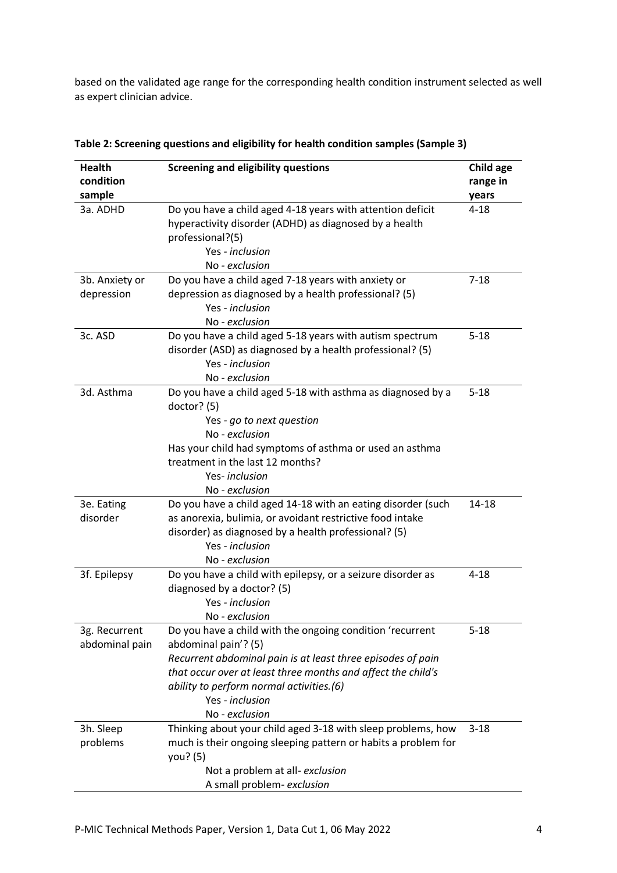based on the validated age range for the corresponding health condition instrument selected as well as expert clinician advice.

| <b>Health</b><br>condition      | <b>Screening and eligibility questions</b>                                                                                                                                                                                                                                                        | Child age<br>range in |
|---------------------------------|---------------------------------------------------------------------------------------------------------------------------------------------------------------------------------------------------------------------------------------------------------------------------------------------------|-----------------------|
| sample                          |                                                                                                                                                                                                                                                                                                   | years                 |
| 3a. ADHD                        | Do you have a child aged 4-18 years with attention deficit<br>hyperactivity disorder (ADHD) as diagnosed by a health<br>professional?(5)<br>Yes - inclusion                                                                                                                                       | $4 - 18$              |
|                                 | No - exclusion                                                                                                                                                                                                                                                                                    |                       |
| 3b. Anxiety or<br>depression    | Do you have a child aged 7-18 years with anxiety or<br>depression as diagnosed by a health professional? (5)<br>Yes - inclusion<br>No - exclusion                                                                                                                                                 | $7 - 18$              |
| 3c. ASD                         | Do you have a child aged 5-18 years with autism spectrum<br>disorder (ASD) as diagnosed by a health professional? (5)<br>Yes - inclusion<br>No - exclusion                                                                                                                                        | $5 - 18$              |
| 3d. Asthma                      | Do you have a child aged 5-18 with asthma as diagnosed by a<br>doctor? $(5)$<br>Yes - go to next question<br>No - exclusion<br>Has your child had symptoms of asthma or used an asthma<br>treatment in the last 12 months?<br>Yes-inclusion<br>No - exclusion                                     | $5 - 18$              |
| 3e. Eating<br>disorder          | Do you have a child aged 14-18 with an eating disorder (such<br>as anorexia, bulimia, or avoidant restrictive food intake<br>disorder) as diagnosed by a health professional? (5)<br>Yes - inclusion<br>No - exclusion                                                                            | $14 - 18$             |
| 3f. Epilepsy                    | Do you have a child with epilepsy, or a seizure disorder as<br>diagnosed by a doctor? (5)<br>Yes - inclusion<br>No - exclusion                                                                                                                                                                    | $4 - 18$              |
| 3g. Recurrent<br>abdominal pain | Do you have a child with the ongoing condition 'recurrent<br>abdominal pain'? (5)<br>Recurrent abdominal pain is at least three episodes of pain<br>that occur over at least three months and affect the child's<br>ability to perform normal activities.(6)<br>Yes - inclusion<br>No - exclusion | $5 - 18$              |
| 3h. Sleep<br>problems           | Thinking about your child aged 3-18 with sleep problems, how<br>much is their ongoing sleeping pattern or habits a problem for<br>you? (5)<br>Not a problem at all-exclusion<br>A small problem- exclusion                                                                                        | $3 - 18$              |

| Table 2: Screening questions and eligibility for health condition samples (Sample 3) |  |
|--------------------------------------------------------------------------------------|--|
|--------------------------------------------------------------------------------------|--|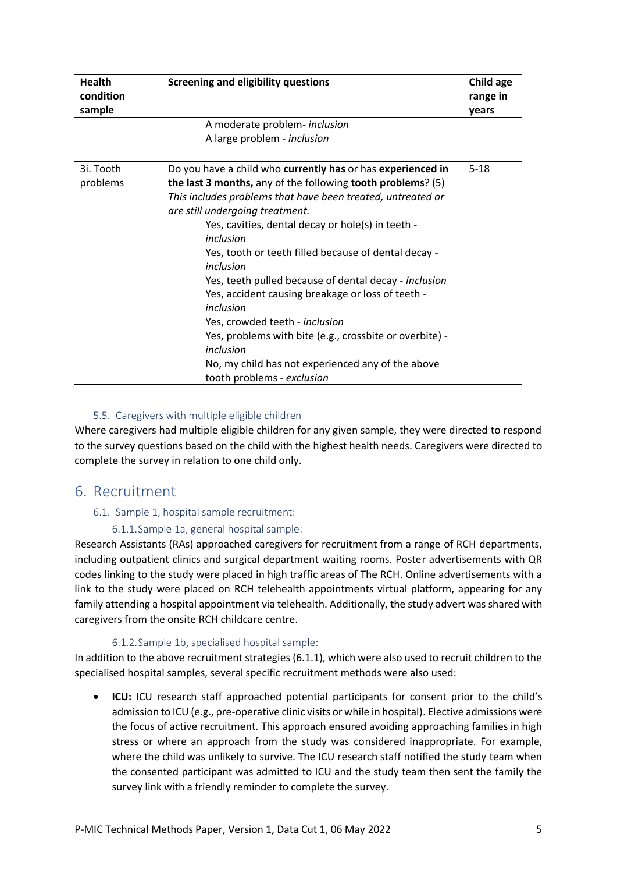| <b>Health</b><br>condition | <b>Screening and eligibility questions</b>                  | Child age<br>range in |  |  |
|----------------------------|-------------------------------------------------------------|-----------------------|--|--|
| sample                     |                                                             | years                 |  |  |
|                            | A moderate problem- inclusion                               |                       |  |  |
|                            | A large problem - inclusion                                 |                       |  |  |
|                            |                                                             |                       |  |  |
| 3i. Tooth                  | Do you have a child who currently has or has experienced in | $5 - 18$              |  |  |
| problems                   | the last 3 months, any of the following tooth problems? (5) |                       |  |  |
|                            | This includes problems that have been treated, untreated or |                       |  |  |
|                            | are still undergoing treatment.                             |                       |  |  |
|                            | Yes, cavities, dental decay or hole(s) in teeth -           |                       |  |  |
|                            | inclusion                                                   |                       |  |  |
|                            | Yes, tooth or teeth filled because of dental decay -        |                       |  |  |
|                            | inclusion                                                   |                       |  |  |
|                            | Yes, teeth pulled because of dental decay - inclusion       |                       |  |  |
|                            | Yes, accident causing breakage or loss of teeth -           |                       |  |  |
|                            | inclusion                                                   |                       |  |  |
|                            | Yes, crowded teeth - inclusion                              |                       |  |  |
|                            | Yes, problems with bite (e.g., crossbite or overbite) -     |                       |  |  |
|                            | inclusion                                                   |                       |  |  |
|                            | No, my child has not experienced any of the above           |                       |  |  |
|                            | tooth problems - exclusion                                  |                       |  |  |

#### 5.5. Caregivers with multiple eligible children

Where caregivers had multiple eligible children for any given sample, they were directed to respond to the survey questions based on the child with the highest health needs. Caregivers were directed to complete the survey in relation to one child only.

### <span id="page-5-0"></span>6. Recruitment

#### 6.1. Sample 1, hospital sample recruitment:

#### 6.1.1.Sample 1a, general hospital sample:

Research Assistants (RAs) approached caregivers for recruitment from a range of RCH departments, including outpatient clinics and surgical department waiting rooms. Poster advertisements with QR codes linking to the study were placed in high traffic areas of The RCH. Online advertisements with a link to the study were placed on RCH telehealth appointments virtual platform, appearing for any family attending a hospital appointment via telehealth. Additionally, the study advert was shared with caregivers from the onsite RCH childcare centre.

#### 6.1.2.Sample 1b, specialised hospital sample:

In addition to the above recruitment strategies (6.1.1), which were also used to recruit children to the specialised hospital samples, several specific recruitment methods were also used:

• **ICU:** ICU research staff approached potential participants for consent prior to the child's admission to ICU (e.g., pre-operative clinic visits or while in hospital). Elective admissions were the focus of active recruitment. This approach ensured avoiding approaching families in high stress or where an approach from the study was considered inappropriate. For example, where the child was unlikely to survive. The ICU research staff notified the study team when the consented participant was admitted to ICU and the study team then sent the family the survey link with a friendly reminder to complete the survey.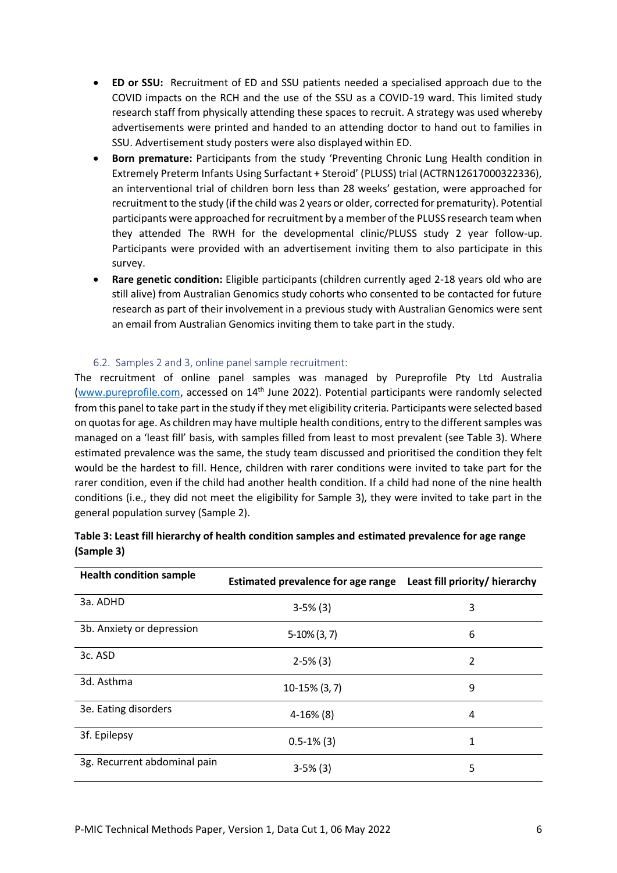- **ED or SSU:** Recruitment of ED and SSU patients needed a specialised approach due to the COVID impacts on the RCH and the use of the SSU as a COVID-19 ward. This limited study research staff from physically attending these spaces to recruit. A strategy was used whereby advertisements were printed and handed to an attending doctor to hand out to families in SSU. Advertisement study posters were also displayed within ED.
- **Born premature:** Participants from the study 'Preventing Chronic Lung Health condition in Extremely Preterm Infants Using Surfactant + Steroid' (PLUSS) trial (ACTRN12617000322336), an interventional trial of children born less than 28 weeks' gestation, were approached for recruitment to the study (if the child was 2 years or older, corrected for prematurity). Potential participants were approached for recruitment by a member of the PLUSS research team when they attended The RWH for the developmental clinic/PLUSS study 2 year follow-up. Participants were provided with an advertisement inviting them to also participate in this survey.
- **Rare genetic condition:** Eligible participants (children currently aged 2-18 years old who are still alive) from Australian Genomics study cohorts who consented to be contacted for future research as part of their involvement in a previous study with Australian Genomics were sent an email from Australian Genomics inviting them to take part in the study.

#### 6.2. Samples 2 and 3, online panel sample recruitment:

The recruitment of online panel samples was managed by Pureprofile Pty Ltd Australia [\(www.pureprofile.com,](http://www.pureprofile.com/) accessed on 14th June 2022). Potential participants were randomly selected from this panel to take part in the study if they met eligibility criteria. Participants were selected based on quotas for age. As children may have multiple health conditions, entry to the different samples was managed on a 'least fill' basis, with samples filled from least to most prevalent (see Table 3). Where estimated prevalence was the same, the study team discussed and prioritised the condition they felt would be the hardest to fill. Hence, children with rarer conditions were invited to take part for the rarer condition, even if the child had another health condition. If a child had none of the nine health conditions (i.e., they did not meet the eligibility for Sample 3), they were invited to take part in the general population survey (Sample 2).

| <b>Health condition sample</b> | Estimated prevalence for age range    Least fill priority/ hierarchy |   |  |  |  |
|--------------------------------|----------------------------------------------------------------------|---|--|--|--|
| 3a. ADHD                       | $3-5%$ (3)                                                           | 3 |  |  |  |
| 3b. Anxiety or depression      | $5-10\%$ (3, 7)                                                      | 6 |  |  |  |
| 3c. ASD                        | $2-5%$ (3)                                                           | 2 |  |  |  |
| 3d. Asthma                     | $10-15\%$ (3, 7)                                                     | 9 |  |  |  |
| 3e. Eating disorders           | $4-16%$ (8)                                                          | 4 |  |  |  |
| 3f. Epilepsy                   | $0.5 - 1\%$ (3)                                                      | 1 |  |  |  |
| 3g. Recurrent abdominal pain   | $3-5%$ (3)                                                           | 5 |  |  |  |

| Table 3: Least fill hierarchy of health condition samples and estimated prevalence for age range |  |
|--------------------------------------------------------------------------------------------------|--|
| (Sample 3)                                                                                       |  |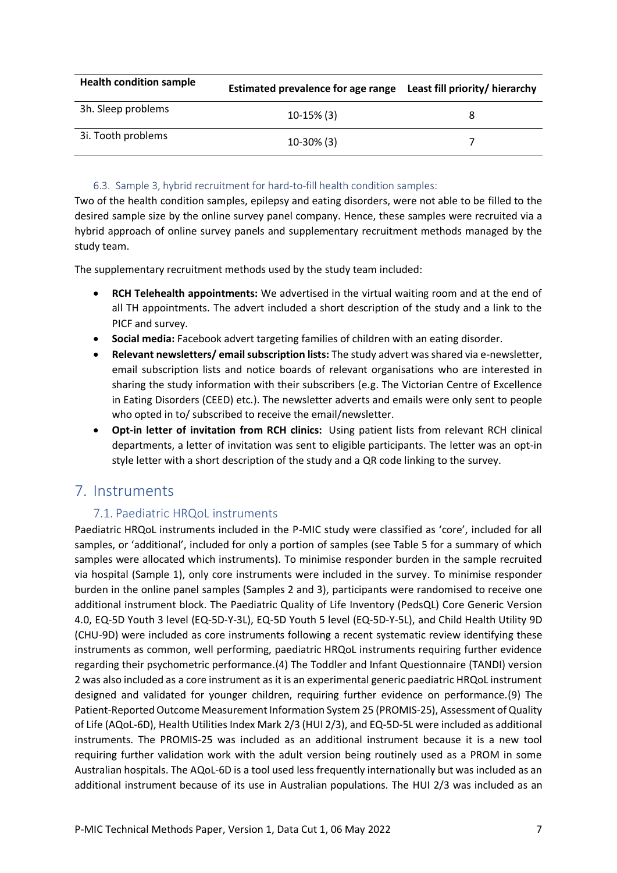| <b>Health condition sample</b> | Estimated prevalence for age range Least fill priority/ hierarchy |  |  |  |  |
|--------------------------------|-------------------------------------------------------------------|--|--|--|--|
| 3h. Sleep problems             | $10-15\%$ (3)                                                     |  |  |  |  |
| 3i. Tooth problems             | $10-30\%$ (3)                                                     |  |  |  |  |

#### 6.3. Sample 3, hybrid recruitment for hard-to-fill health condition samples:

Two of the health condition samples, epilepsy and eating disorders, were not able to be filled to the desired sample size by the online survey panel company. Hence, these samples were recruited via a hybrid approach of online survey panels and supplementary recruitment methods managed by the study team.

The supplementary recruitment methods used by the study team included:

- **RCH Telehealth appointments:** We advertised in the virtual waiting room and at the end of all TH appointments. The advert included a short description of the study and a link to the PICF and survey.
- **Social media:** Facebook advert targeting families of children with an eating disorder.
- **Relevant newsletters/ email subscription lists:** The study advert was shared via e-newsletter, email subscription lists and notice boards of relevant organisations who are interested in sharing the study information with their subscribers (e.g. The Victorian Centre of Excellence in Eating Disorders (CEED) etc.). The newsletter adverts and emails were only sent to people who opted in to/ subscribed to receive the email/newsletter.
- **Opt-in letter of invitation from RCH clinics:** Using patient lists from relevant RCH clinical departments, a letter of invitation was sent to eligible participants. The letter was an opt-in style letter with a short description of the study and a QR code linking to the survey.

## <span id="page-7-0"></span>7. Instruments

### 7.1. Paediatric HRQoL instruments

Paediatric HRQoL instruments included in the P-MIC study were classified as 'core', included for all samples, or 'additional', included for only a portion of samples (see Table 5 for a summary of which samples were allocated which instruments). To minimise responder burden in the sample recruited via hospital (Sample 1), only core instruments were included in the survey. To minimise responder burden in the online panel samples (Samples 2 and 3), participants were randomised to receive one additional instrument block. The Paediatric Quality of Life Inventory (PedsQL) Core Generic Version 4.0, EQ-5D Youth 3 level (EQ-5D-Y-3L), EQ-5D Youth 5 level (EQ-5D-Y-5L), and Child Health Utility 9D (CHU-9D) were included as core instruments following a recent systematic review identifying these instruments as common, well performing, paediatric HRQoL instruments requiring further evidence regarding their psychometric performance.(4) The Toddler and Infant Questionnaire (TANDI) version 2 was also included as a core instrument as it is an experimental generic paediatric HRQoL instrument designed and validated for younger children, requiring further evidence on performance.(9) The Patient-Reported Outcome Measurement Information System 25 (PROMIS-25), Assessment of Quality of Life (AQoL-6D), Health Utilities Index Mark 2/3 (HUI 2/3), and EQ-5D-5L were included as additional instruments. The PROMIS-25 was included as an additional instrument because it is a new tool requiring further validation work with the adult version being routinely used as a PROM in some Australian hospitals. The AQoL-6D is a tool used less frequently internationally but was included as an additional instrument because of its use in Australian populations. The HUI 2/3 was included as an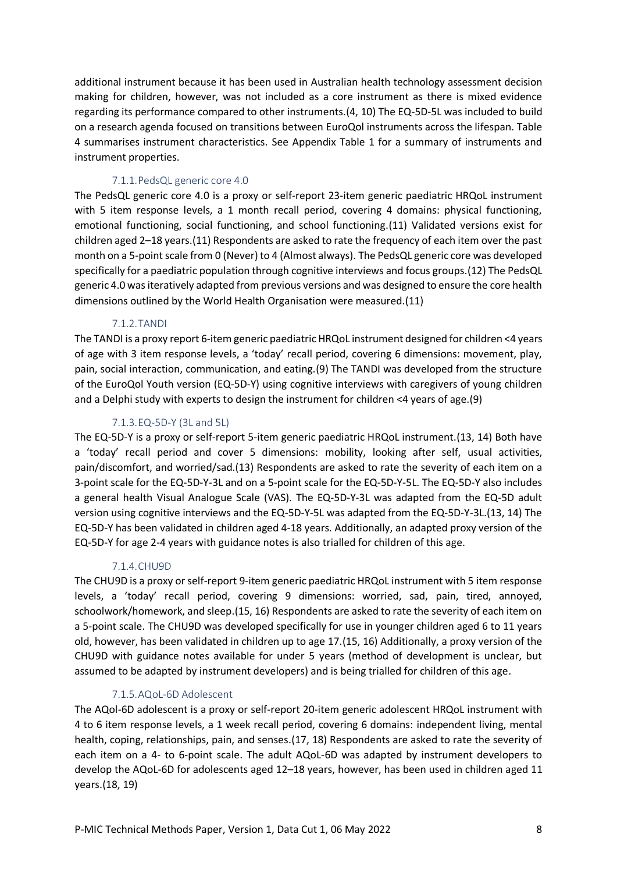additional instrument because it has been used in Australian health technology assessment decision making for children, however, was not included as a core instrument as there is mixed evidence regarding its performance compared to other instruments.(4, 10) The EQ-5D-5L was included to build on a research agenda focused on transitions between EuroQol instruments across the lifespan. Table 4 summarises instrument characteristics. See Appendix Table 1 for a summary of instruments and instrument properties.

#### 7.1.1.PedsQL generic core 4.0

The PedsQL generic core 4.0 is a proxy or self-report 23-item generic paediatric HRQoL instrument with 5 item response levels, a 1 month recall period, covering 4 domains: physical functioning, emotional functioning, social functioning, and school functioning.(11) Validated versions exist for children aged 2–18 years.(11) Respondents are asked to rate the frequency of each item over the past month on a 5-point scale from 0 (Never) to 4 (Almost always). The PedsQL generic core was developed specifically for a paediatric population through cognitive interviews and focus groups.(12) The PedsQL generic 4.0 was iteratively adapted from previous versions and was designed to ensure the core health dimensions outlined by the World Health Organisation were measured.(11)

#### 7.1.2.TANDI

The TANDI is a proxy report 6-item generic paediatric HRQoL instrument designed for children <4 years of age with 3 item response levels, a 'today' recall period, covering 6 dimensions: movement, play, pain, social interaction, communication, and eating.(9) The TANDI was developed from the structure of the EuroQol Youth version (EQ-5D-Y) using cognitive interviews with caregivers of young children and a Delphi study with experts to design the instrument for children <4 years of age.(9)

#### 7.1.3.EQ-5D-Y (3L and 5L)

The EQ-5D-Y is a proxy or self-report 5-item generic paediatric HRQoL instrument.(13, 14) Both have a 'today' recall period and cover 5 dimensions: mobility, looking after self, usual activities, pain/discomfort, and worried/sad.(13) Respondents are asked to rate the severity of each item on a 3-point scale for the EQ-5D-Y-3L and on a 5-point scale for the EQ-5D-Y-5L. The EQ-5D-Y also includes a general health Visual Analogue Scale (VAS). The EQ-5D-Y-3L was adapted from the EQ-5D adult version using cognitive interviews and the EQ-5D-Y-5L was adapted from the EQ-5D-Y-3L.(13, 14) The EQ-5D-Y has been validated in children aged 4-18 years. Additionally, an adapted proxy version of the EQ-5D-Y for age 2-4 years with guidance notes is also trialled for children of this age.

#### 7.1.4.CHU9D

The CHU9D is a proxy or self-report 9-item generic paediatric HRQoL instrument with 5 item response levels, a 'today' recall period, covering 9 dimensions: worried, sad, pain, tired, annoyed, schoolwork/homework, and sleep.(15, 16) Respondents are asked to rate the severity of each item on a 5-point scale. The CHU9D was developed specifically for use in younger children aged 6 to 11 years old, however, has been validated in children up to age 17.(15, 16) Additionally, a proxy version of the CHU9D with guidance notes available for under 5 years (method of development is unclear, but assumed to be adapted by instrument developers) and is being trialled for children of this age.

#### 7.1.5.AQoL-6D Adolescent

The AQol-6D adolescent is a proxy or self-report 20-item generic adolescent HRQoL instrument with 4 to 6 item response levels, a 1 week recall period, covering 6 domains: independent living, mental health, coping, relationships, pain, and senses.(17, 18) Respondents are asked to rate the severity of each item on a 4- to 6-point scale. The adult AQoL-6D was adapted by instrument developers to develop the AQoL-6D for adolescents aged 12–18 years, however, has been used in children aged 11 years.(18, 19)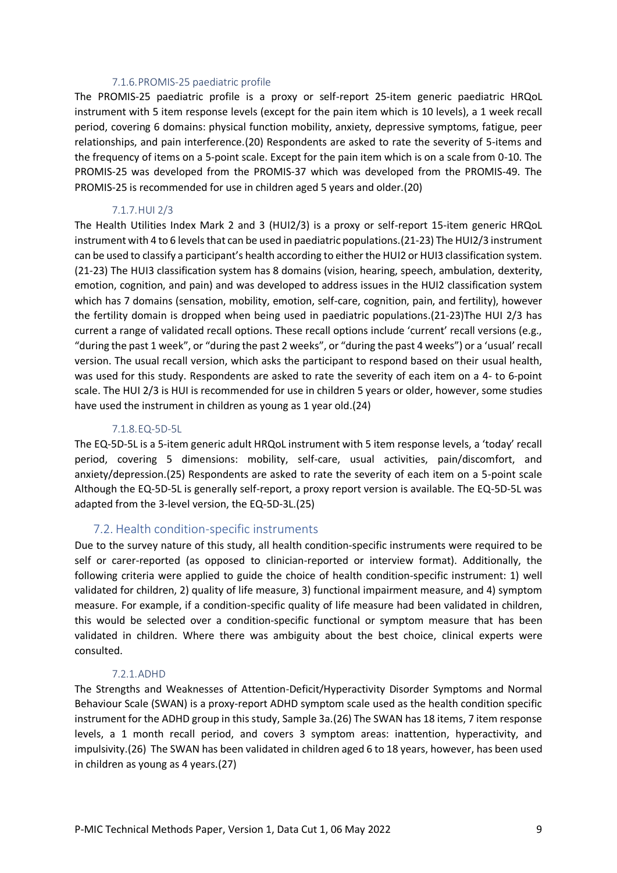#### 7.1.6.PROMIS-25 paediatric profile

The PROMIS-25 paediatric profile is a proxy or self-report 25-item generic paediatric HRQoL instrument with 5 item response levels (except for the pain item which is 10 levels), a 1 week recall period, covering 6 domains: physical function mobility, anxiety, depressive symptoms, fatigue, peer relationships, and pain interference.(20) Respondents are asked to rate the severity of 5-items and the frequency of items on a 5-point scale. Except for the pain item which is on a scale from 0-10. The PROMIS-25 was developed from the PROMIS-37 which was developed from the PROMIS-49. The PROMIS-25 is recommended for use in children aged 5 years and older.(20)

#### 7.1.7.HUI 2/3

The Health Utilities Index Mark 2 and 3 (HUI2/3) is a proxy or self-report 15-item generic HRQoL instrument with 4 to 6 levels that can be used in paediatric populations.(21-23) The HUI2/3 instrument can be used to classify a participant's health according to either the HUI2 or HUI3 classification system. (21-23) The HUI3 classification system has 8 domains (vision, hearing, speech, ambulation, dexterity, emotion, cognition, and pain) and was developed to address issues in the HUI2 classification system which has 7 domains (sensation, mobility, emotion, self-care, cognition, pain, and fertility), however the fertility domain is dropped when being used in paediatric populations.(21-23)The HUI 2/3 has current a range of validated recall options. These recall options include 'current' recall versions (e.g., "during the past 1 week", or "during the past 2 weeks", or "during the past 4 weeks") or a 'usual' recall version. The usual recall version, which asks the participant to respond based on their usual health, was used for this study. Respondents are asked to rate the severity of each item on a 4- to 6-point scale. The HUI 2/3 is HUI is recommended for use in children 5 years or older, however, some studies have used the instrument in children as young as 1 year old.(24)

#### 7.1.8.EQ-5D-5L

The EQ-5D-5L is a 5-item generic adult HRQoL instrument with 5 item response levels, a 'today' recall period, covering 5 dimensions: mobility, self-care, usual activities, pain/discomfort, and anxiety/depression.(25) Respondents are asked to rate the severity of each item on a 5-point scale Although the EQ-5D-5L is generally self-report, a proxy report version is available. The EQ-5D-5L was adapted from the 3-level version, the EQ-5D-3L.(25)

### 7.2. Health condition-specific instruments

Due to the survey nature of this study, all health condition-specific instruments were required to be self or carer-reported (as opposed to clinician-reported or interview format). Additionally, the following criteria were applied to guide the choice of health condition-specific instrument: 1) well validated for children, 2) quality of life measure, 3) functional impairment measure, and 4) symptom measure. For example, if a condition-specific quality of life measure had been validated in children, this would be selected over a condition-specific functional or symptom measure that has been validated in children. Where there was ambiguity about the best choice, clinical experts were consulted.

#### 7.2.1.ADHD

The Strengths and Weaknesses of Attention-Deficit/Hyperactivity Disorder Symptoms and Normal Behaviour Scale (SWAN) is a proxy-report ADHD symptom scale used as the health condition specific instrument for the ADHD group in this study, Sample 3a.(26) The SWAN has 18 items, 7 item response levels, a 1 month recall period, and covers 3 symptom areas: inattention, hyperactivity, and impulsivity.(26) The SWAN has been validated in children aged 6 to 18 years, however, has been used in children as young as 4 years.(27)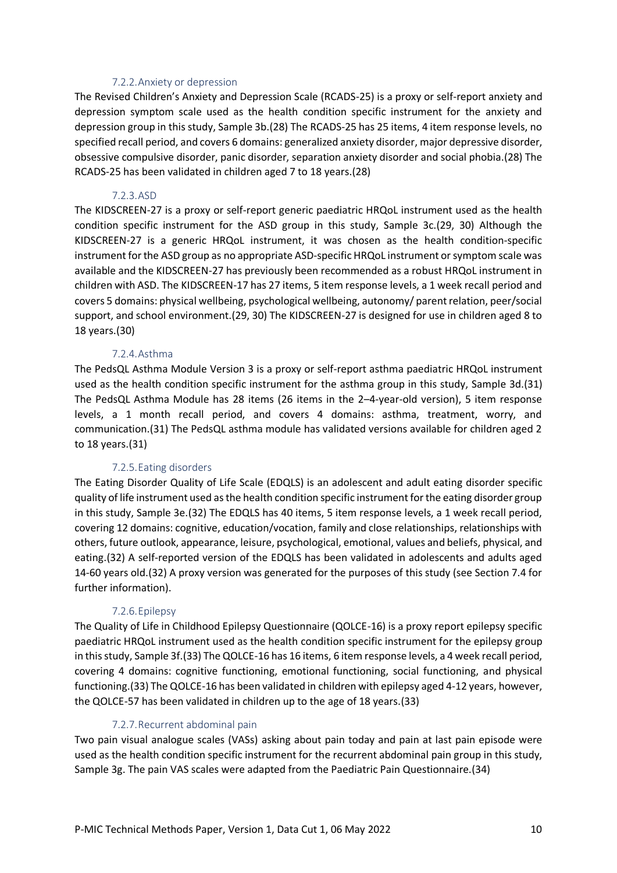#### 7.2.2.Anxiety or depression

The Revised Children's Anxiety and Depression Scale (RCADS-25) is a proxy or self-report anxiety and depression symptom scale used as the health condition specific instrument for the anxiety and depression group in this study, Sample 3b.(28) The RCADS-25 has 25 items, 4 item response levels, no specified recall period, and covers 6 domains: generalized anxiety disorder, major depressive disorder, obsessive compulsive disorder, panic disorder, separation anxiety disorder and social phobia.(28) The RCADS-25 has been validated in children aged 7 to 18 years.(28)

#### 7.2.3.ASD

The KIDSCREEN-27 is a proxy or self-report generic paediatric HRQoL instrument used as the health condition specific instrument for the ASD group in this study, Sample 3c.(29, 30) Although the KIDSCREEN-27 is a generic HRQoL instrument, it was chosen as the health condition-specific instrument for the ASD group as no appropriate ASD-specific HRQoL instrument or symptom scale was available and the KIDSCREEN-27 has previously been recommended as a robust HRQoL instrument in children with ASD. The KIDSCREEN-17 has 27 items, 5 item response levels, a 1 week recall period and covers 5 domains: physical wellbeing, psychological wellbeing, autonomy/ parent relation, peer/social support, and school environment.(29, 30) The KIDSCREEN-27 is designed for use in children aged 8 to 18 years.(30)

#### 7.2.4.Asthma

The PedsQL Asthma Module Version 3 is a proxy or self-report asthma paediatric HRQoL instrument used as the health condition specific instrument for the asthma group in this study, Sample 3d.(31) The PedsQL Asthma Module has 28 items (26 items in the 2–4-year-old version), 5 item response levels, a 1 month recall period, and covers 4 domains: asthma, treatment, worry, and communication.(31) The PedsQL asthma module has validated versions available for children aged 2 to 18 years.(31)

#### 7.2.5.Eating disorders

The Eating Disorder Quality of Life Scale (EDQLS) is an adolescent and adult eating disorder specific quality of life instrument used as the health condition specific instrument for the eating disorder group in this study, Sample 3e.(32) The EDQLS has 40 items, 5 item response levels, a 1 week recall period, covering 12 domains: cognitive, education/vocation, family and close relationships, relationships with others, future outlook, appearance, leisure, psychological, emotional, values and beliefs, physical, and eating.(32) A self-reported version of the EDQLS has been validated in adolescents and adults aged 14-60 years old.(32) A proxy version was generated for the purposes of this study (see Section 7.4 for further information).

#### 7.2.6.Epilepsy

The Quality of Life in Childhood Epilepsy Questionnaire (QOLCE-16) is a proxy report epilepsy specific paediatric HRQoL instrument used as the health condition specific instrument for the epilepsy group in this study, Sample 3f.(33) The QOLCE-16 has 16 items, 6 item response levels, a 4 week recall period, covering 4 domains: cognitive functioning, emotional functioning, social functioning, and physical functioning.(33) The QOLCE-16 has been validated in children with epilepsy aged 4-12 years, however, the QOLCE-57 has been validated in children up to the age of 18 years.(33)

#### 7.2.7.Recurrent abdominal pain

Two pain visual analogue scales (VASs) asking about pain today and pain at last pain episode were used as the health condition specific instrument for the recurrent abdominal pain group in this study, Sample 3g. The pain VAS scales were adapted from the Paediatric Pain Questionnaire.(34)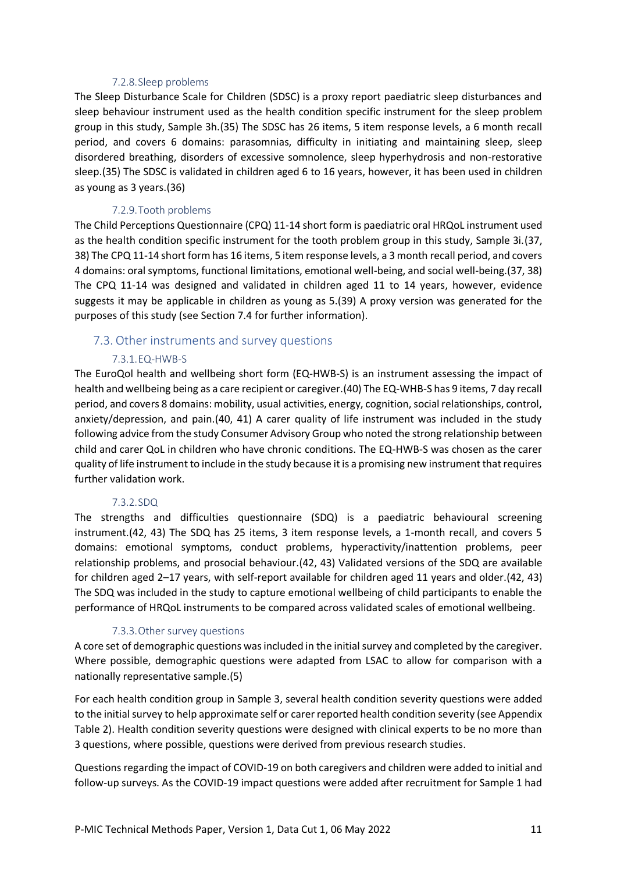#### 7.2.8.Sleep problems

The Sleep Disturbance Scale for Children (SDSC) is a proxy report paediatric sleep disturbances and sleep behaviour instrument used as the health condition specific instrument for the sleep problem group in this study, Sample 3h.(35) The SDSC has 26 items, 5 item response levels, a 6 month recall period, and covers 6 domains: parasomnias, difficulty in initiating and maintaining sleep, sleep disordered breathing, disorders of excessive somnolence, sleep hyperhydrosis and non-restorative sleep.(35) The SDSC is validated in children aged 6 to 16 years, however, it has been used in children as young as 3 years.(36)

### 7.2.9.Tooth problems

The Child Perceptions Questionnaire (CPQ) 11-14 short form is paediatric oral HRQoL instrument used as the health condition specific instrument for the tooth problem group in this study, Sample 3i.(37, 38) The CPQ 11-14 short form has 16 items, 5 item response levels, a 3 month recall period, and covers 4 domains: oral symptoms, functional limitations, emotional well-being, and social well-being.(37, 38) The CPQ 11-14 was designed and validated in children aged 11 to 14 years, however, evidence suggests it may be applicable in children as young as 5.(39) A proxy version was generated for the purposes of this study (see Section 7.4 for further information).

### 7.3. Other instruments and survey questions

### 7.3.1.EQ-HWB-S

The EuroQol health and wellbeing short form (EQ-HWB-S) is an instrument assessing the impact of health and wellbeing being as a care recipient or caregiver.(40) The EQ-WHB-S has 9 items, 7 day recall period, and covers 8 domains: mobility, usual activities, energy, cognition, social relationships, control, anxiety/depression, and pain.(40, 41) A carer quality of life instrument was included in the study following advice from the study Consumer Advisory Group who noted the strong relationship between child and carer QoL in children who have chronic conditions. The EQ-HWB-S was chosen as the carer quality of life instrument to include in the study because it is a promising new instrument that requires further validation work.

#### 7.3.2.SDQ

The strengths and difficulties questionnaire (SDQ) is a paediatric behavioural screening instrument.(42, 43) The SDQ has 25 items, 3 item response levels, a 1-month recall, and covers 5 domains: emotional symptoms, conduct problems, hyperactivity/inattention problems, peer relationship problems, and prosocial behaviour.(42, 43) Validated versions of the SDQ are available for children aged 2–17 years, with self-report available for children aged 11 years and older.(42, 43) The SDQ was included in the study to capture emotional wellbeing of child participants to enable the performance of HRQoL instruments to be compared across validated scales of emotional wellbeing.

#### 7.3.3.Other survey questions

A core set of demographic questions wasincluded in the initial survey and completed by the caregiver. Where possible, demographic questions were adapted from LSAC to allow for comparison with a nationally representative sample.(5)

For each health condition group in Sample 3, several health condition severity questions were added to the initial survey to help approximate self or carer reported health condition severity (see Appendix Table 2). Health condition severity questions were designed with clinical experts to be no more than 3 questions, where possible, questions were derived from previous research studies.

Questions regarding the impact of COVID-19 on both caregivers and children were added to initial and follow-up surveys. As the COVID-19 impact questions were added after recruitment for Sample 1 had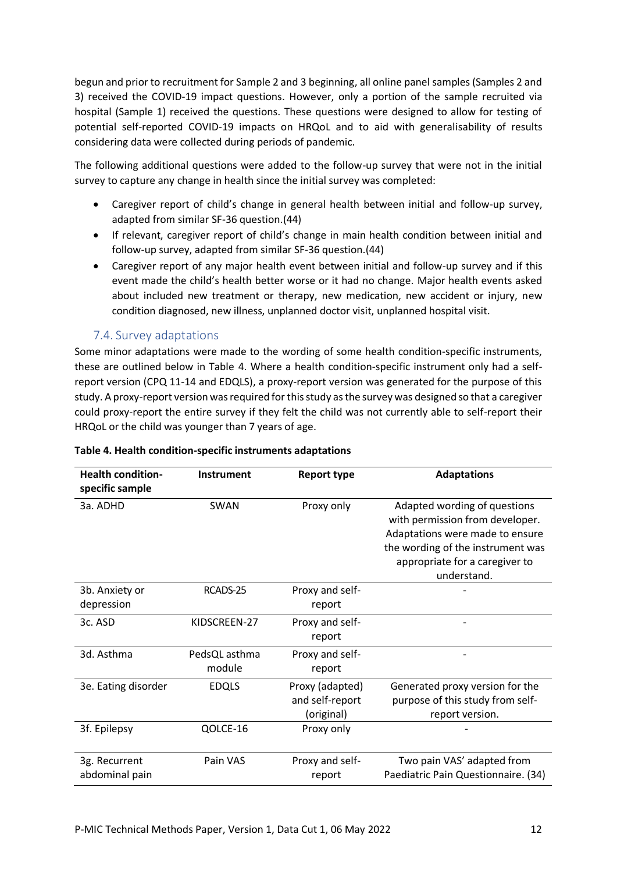begun and prior to recruitment for Sample 2 and 3 beginning, all online panel samples (Samples 2 and 3) received the COVID-19 impact questions. However, only a portion of the sample recruited via hospital (Sample 1) received the questions. These questions were designed to allow for testing of potential self-reported COVID-19 impacts on HRQoL and to aid with generalisability of results considering data were collected during periods of pandemic.

The following additional questions were added to the follow-up survey that were not in the initial survey to capture any change in health since the initial survey was completed:

- Caregiver report of child's change in general health between initial and follow-up survey, adapted from similar SF-36 question.(44)
- If relevant, caregiver report of child's change in main health condition between initial and follow-up survey, adapted from similar SF-36 question.(44)
- Caregiver report of any major health event between initial and follow-up survey and if this event made the child's health better worse or it had no change. Major health events asked about included new treatment or therapy, new medication, new accident or injury, new condition diagnosed, new illness, unplanned doctor visit, unplanned hospital visit.

### 7.4. Survey adaptations

Some minor adaptations were made to the wording of some health condition-specific instruments, these are outlined below in Table 4. Where a health condition-specific instrument only had a selfreport version (CPQ 11-14 and EDQLS), a proxy-report version was generated for the purpose of this study. A proxy-report version was required for this study as the survey was designed so that a caregiver could proxy-report the entire survey if they felt the child was not currently able to self-report their HRQoL or the child was younger than 7 years of age.

| <b>Health condition-</b><br>specific sample | <b>Instrument</b> | <b>Report type</b> | <b>Adaptations</b>                                                 |  |  |  |  |
|---------------------------------------------|-------------------|--------------------|--------------------------------------------------------------------|--|--|--|--|
| 3a. ADHD                                    | SWAN              | Proxy only         | Adapted wording of questions                                       |  |  |  |  |
|                                             |                   |                    | with permission from developer.<br>Adaptations were made to ensure |  |  |  |  |
|                                             |                   |                    |                                                                    |  |  |  |  |
|                                             |                   |                    | the wording of the instrument was                                  |  |  |  |  |
|                                             |                   |                    | appropriate for a caregiver to                                     |  |  |  |  |
|                                             |                   |                    | understand.                                                        |  |  |  |  |
| 3b. Anxiety or                              | RCADS-25          | Proxy and self-    |                                                                    |  |  |  |  |
| depression                                  |                   | report             |                                                                    |  |  |  |  |
| 3c. ASD                                     | KIDSCREEN-27      | Proxy and self-    |                                                                    |  |  |  |  |
|                                             |                   | report             |                                                                    |  |  |  |  |
| 3d. Asthma                                  | PedsQL asthma     | Proxy and self-    |                                                                    |  |  |  |  |
|                                             | module            | report             |                                                                    |  |  |  |  |
| 3e. Eating disorder                         | <b>EDQLS</b>      | Proxy (adapted)    | Generated proxy version for the                                    |  |  |  |  |
|                                             |                   | and self-report    | purpose of this study from self-                                   |  |  |  |  |
|                                             |                   | (original)         | report version.                                                    |  |  |  |  |
| 3f. Epilepsy                                | QOLCE-16          | Proxy only         |                                                                    |  |  |  |  |
|                                             |                   |                    |                                                                    |  |  |  |  |
| 3g. Recurrent                               | Pain VAS          | Proxy and self-    | Two pain VAS' adapted from                                         |  |  |  |  |
| abdominal pain                              |                   | report             | Paediatric Pain Questionnaire. (34)                                |  |  |  |  |

#### **Table 4. Health condition-specific instruments adaptations**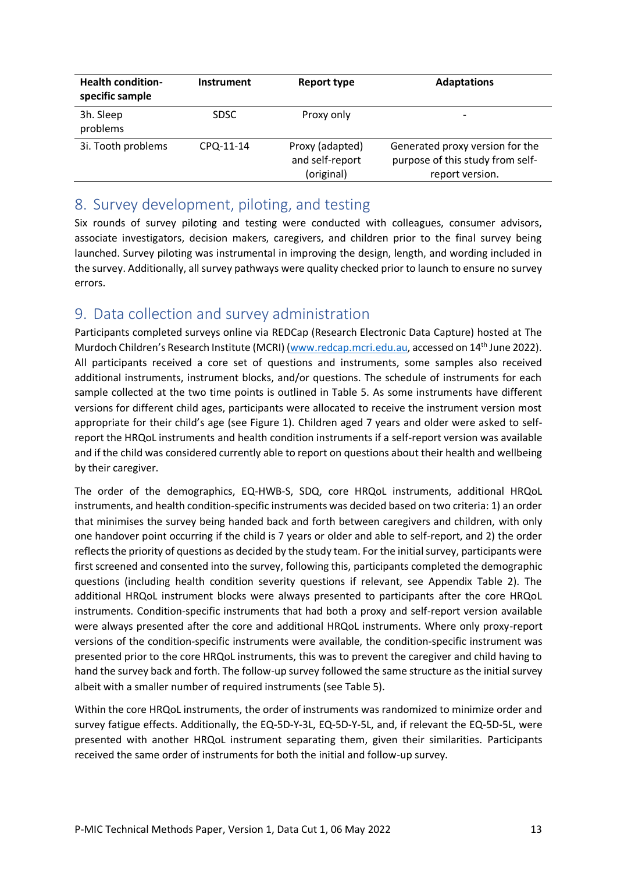| <b>Health condition-</b><br>specific sample | <b>Instrument</b> | Report type                                      | <b>Adaptations</b>                                                                     |
|---------------------------------------------|-------------------|--------------------------------------------------|----------------------------------------------------------------------------------------|
| 3h. Sleep<br>problems                       | <b>SDSC</b>       | Proxy only                                       | $\overline{\phantom{0}}$                                                               |
| 3i. Tooth problems                          | CPQ-11-14         | Proxy (adapted)<br>and self-report<br>(original) | Generated proxy version for the<br>purpose of this study from self-<br>report version. |

## <span id="page-13-0"></span>8. Survey development, piloting, and testing

Six rounds of survey piloting and testing were conducted with colleagues, consumer advisors, associate investigators, decision makers, caregivers, and children prior to the final survey being launched. Survey piloting was instrumental in improving the design, length, and wording included in the survey. Additionally, all survey pathways were quality checked prior to launch to ensure no survey errors.

# <span id="page-13-1"></span>9. Data collection and survey administration

Participants completed surveys online via REDCap (Research Electronic Data Capture) hosted at The Murdoch Children's Research Institute (MCRI) [\(www.redcap.mcri.edu.au,](http://www.redcap.mcri.edu.au/) accessed on 14<sup>th</sup> June 2022). All participants received a core set of questions and instruments, some samples also received additional instruments, instrument blocks, and/or questions. The schedule of instruments for each sample collected at the two time points is outlined in Table 5. As some instruments have different versions for different child ages, participants were allocated to receive the instrument version most appropriate for their child's age (see Figure 1). Children aged 7 years and older were asked to selfreport the HRQoL instruments and health condition instruments if a self-report version was available and if the child was considered currently able to report on questions about their health and wellbeing by their caregiver.

The order of the demographics, EQ-HWB-S, SDQ, core HRQoL instruments, additional HRQoL instruments, and health condition-specific instruments was decided based on two criteria: 1) an order that minimises the survey being handed back and forth between caregivers and children, with only one handover point occurring if the child is 7 years or older and able to self-report, and 2) the order reflects the priority of questions as decided by the study team. For the initial survey, participants were first screened and consented into the survey, following this, participants completed the demographic questions (including health condition severity questions if relevant, see Appendix Table 2). The additional HRQoL instrument blocks were always presented to participants after the core HRQoL instruments. Condition-specific instruments that had both a proxy and self-report version available were always presented after the core and additional HRQoL instruments. Where only proxy-report versions of the condition-specific instruments were available, the condition-specific instrument was presented prior to the core HRQoL instruments, this was to prevent the caregiver and child having to hand the survey back and forth. The follow-up survey followed the same structure as the initial survey albeit with a smaller number of required instruments (see Table 5).

Within the core HRQoL instruments, the order of instruments was randomized to minimize order and survey fatigue effects. Additionally, the EQ-5D-Y-3L, EQ-5D-Y-5L, and, if relevant the EQ-5D-5L, were presented with another HRQoL instrument separating them, given their similarities. Participants received the same order of instruments for both the initial and follow-up survey.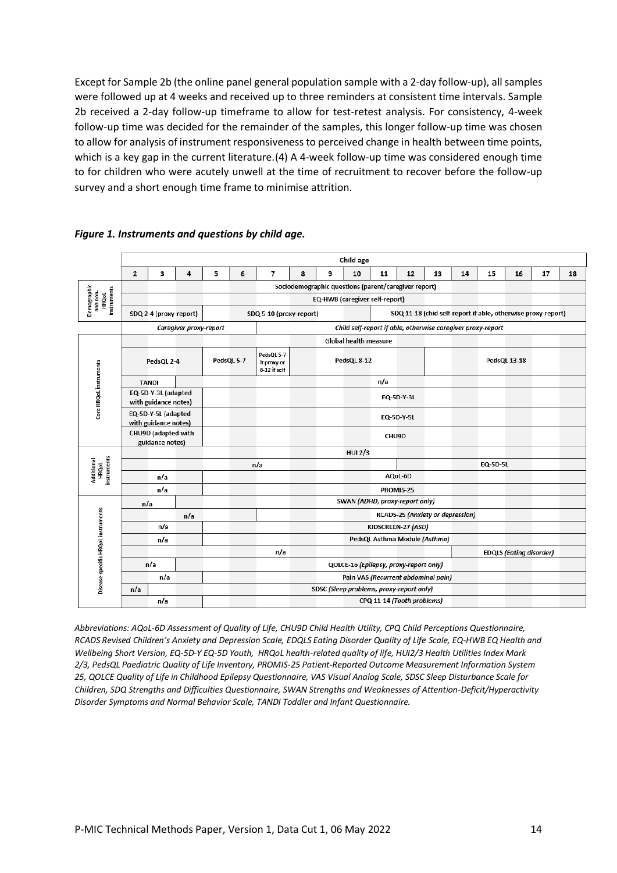Except for Sample 2b (the online panel general population sample with a 2-day follow-up), all samples were followed up at 4 weeks and received up to three reminders at consistent time intervals. Sample 2b received a 2-day follow-up timeframe to allow for test-retest analysis. For consistency, 4-week follow-up time was decided for the remainder of the samples, this longer follow-up time was chosen to allow for analysis of instrument responsiveness to perceived change in health between time points, which is a key gap in the current literature.(4) A 4-week follow-up time was considered enough time to for children who were acutely unwell at the time of recruitment to recover before the follow-up survey and a short enough time frame to minimise attrition.

|                                                        | Child age                                                                                  |                        |                        |   |            |                                           |   |   |                                                             |                                             |                            |                                  |    |                                                              |                                |    |    |
|--------------------------------------------------------|--------------------------------------------------------------------------------------------|------------------------|------------------------|---|------------|-------------------------------------------|---|---|-------------------------------------------------------------|---------------------------------------------|----------------------------|----------------------------------|----|--------------------------------------------------------------|--------------------------------|----|----|
|                                                        | $\overline{2}$                                                                             | 3                      | 4                      | 5 | 6          | $\overline{7}$                            | 8 | 9 | 10                                                          | 11                                          | 12                         | 13                               | 14 | 15                                                           | 16                             | 17 | 18 |
|                                                        |                                                                                            |                        |                        |   |            |                                           |   |   | Sociodemographic questions (parent/caregiver report)        |                                             |                            |                                  |    |                                                              |                                |    |    |
| Demographic<br>instruments<br>and non-<br><b>HRQoL</b> | <b>EQ-HWB</b> (caregiver self-report)                                                      |                        |                        |   |            |                                           |   |   |                                                             |                                             |                            |                                  |    |                                                              |                                |    |    |
|                                                        |                                                                                            | SDQ 2-4 (proxy-report) |                        |   |            | SDQ 5-10 (proxy-report)                   |   |   |                                                             |                                             |                            |                                  |    | SDQ 11-18 (chid self-report if able, otherwise proxy-report) |                                |    |    |
|                                                        |                                                                                            |                        | Caregiver proxy-report |   |            |                                           |   |   | Child self-report if able, otherwise caregiver proxy-report |                                             |                            |                                  |    |                                                              |                                |    |    |
|                                                        |                                                                                            |                        |                        |   |            |                                           |   |   | <b>Global health measure</b>                                |                                             |                            |                                  |    |                                                              |                                |    |    |
|                                                        |                                                                                            | PedsQL 2-4             |                        |   | PedsQL 5-7 | PedsQL 5-7<br>if proxy or<br>8-12 if self |   |   | PedsQL 8-12                                                 |                                             |                            |                                  |    |                                                              | PedsQL 13-18                   |    |    |
|                                                        |                                                                                            | <b>TANDI</b>           |                        |   |            |                                           |   |   |                                                             | n/a                                         |                            |                                  |    |                                                              |                                |    |    |
| Core HRQoL instruments                                 | EQ-5D-Y-3L (adapted<br>with guidance notes)<br>EQ-5D-Y-5L (adapted<br>with guidance notes) |                        |                        |   |            |                                           |   |   |                                                             |                                             | EQ-5D-Y-3L                 |                                  |    |                                                              |                                |    |    |
|                                                        |                                                                                            |                        |                        |   |            |                                           |   |   |                                                             |                                             | EQ-5D-Y-5L                 |                                  |    |                                                              |                                |    |    |
|                                                        | CHU9D (adapted with<br>guidance notes)                                                     |                        |                        |   |            |                                           |   |   |                                                             | CHU9D                                       |                            |                                  |    |                                                              |                                |    |    |
|                                                        |                                                                                            |                        |                        |   |            |                                           |   |   | <b>HUI 2/3</b>                                              |                                             |                            |                                  |    |                                                              |                                |    |    |
| instruments<br>Additional<br><b>HRQoL</b>              |                                                                                            |                        |                        |   |            | n/a                                       |   |   |                                                             |                                             |                            |                                  |    | <b>EQ-5D-5L</b>                                              |                                |    |    |
|                                                        |                                                                                            | n/a                    |                        |   |            |                                           |   |   |                                                             |                                             | AQoL-6D                    |                                  |    |                                                              |                                |    |    |
|                                                        |                                                                                            | n/a                    |                        |   |            |                                           |   |   |                                                             | PROMIS-25<br>SWAN (ADHD, proxy-report only) |                            |                                  |    |                                                              |                                |    |    |
|                                                        | n/a                                                                                        |                        |                        |   |            |                                           |   |   |                                                             |                                             |                            |                                  |    |                                                              |                                |    |    |
|                                                        |                                                                                            | n/a                    | n/a                    |   |            |                                           |   |   |                                                             |                                             | KIDSCREEN-27 (ASD)         | RCADS-25 (Anxiety or depression) |    |                                                              |                                |    |    |
|                                                        |                                                                                            | n/a                    |                        |   |            |                                           |   |   |                                                             |                                             |                            | PedsQL Asthma Module (Asthma)    |    |                                                              |                                |    |    |
|                                                        |                                                                                            |                        |                        |   |            | n/a                                       |   |   |                                                             |                                             |                            |                                  |    |                                                              | <b>EDQLS (Eating disorder)</b> |    |    |
| Disease-specific HRQoL instruments                     |                                                                                            | n/a                    |                        |   |            |                                           |   |   | QOLCE-16 (Epilepsy, proxy-report only)                      |                                             |                            |                                  |    |                                                              |                                |    |    |
|                                                        |                                                                                            | n/a                    |                        |   |            |                                           |   |   | Pain VAS (Recurrent abdominal pain)                         |                                             |                            |                                  |    |                                                              |                                |    |    |
|                                                        | n/a                                                                                        |                        |                        |   |            |                                           |   |   | SDSC (Sleep problems, proxy-report only)                    |                                             |                            |                                  |    |                                                              |                                |    |    |
|                                                        |                                                                                            | n/a                    |                        |   |            |                                           |   |   |                                                             |                                             | CPQ 11-14 (Tooth problems) |                                  |    |                                                              |                                |    |    |

#### *Figure 1. Instruments and questions by child age.*

*Abbreviations: AQoL-6D Assessment of Quality of Life, CHU9D Child Health Utility, CPQ Child Perceptions Questionnaire, RCADS Revised Children's Anxiety and Depression Scale, EDQLS Eating Disorder Quality of Life Scale, EQ-HWB EQ Health and Wellbeing Short Version, EQ-5D-Y EQ-5D Youth, HRQoL health-related quality of life, HUI2/3 Health Utilities Index Mark 2/3, PedsQL Paediatric Quality of Life Inventory, PROMIS-25 Patient-Reported Outcome Measurement Information System 25, QOLCE Quality of Life in Childhood Epilepsy Questionnaire, VAS Visual Analog Scale, SDSC Sleep Disturbance Scale for Children, SDQ Strengths and Difficulties Questionnaire, SWAN Strengths and Weaknesses of Attention-Deficit/Hyperactivity Disorder Symptoms and Normal Behavior Scale, TANDI Toddler and Infant Questionnaire.*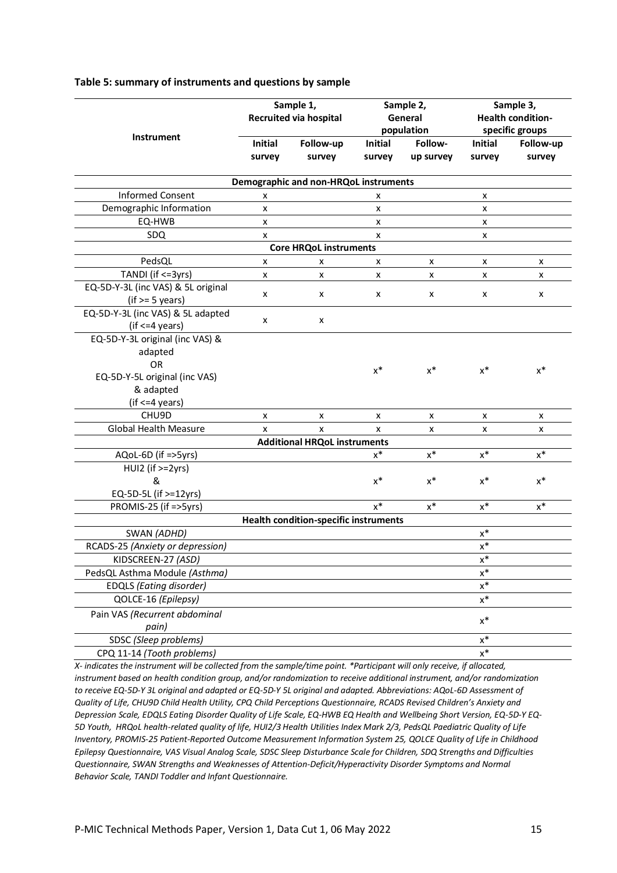|                                    | Sample 1,<br><b>Recruited via hospital</b> |                                              | Sample 2,<br>General<br>population |                      | Sample 3,<br><b>Health condition-</b><br>specific groups |                     |
|------------------------------------|--------------------------------------------|----------------------------------------------|------------------------------------|----------------------|----------------------------------------------------------|---------------------|
| Instrument                         | <b>Initial</b><br>survey                   | Follow-up<br>survey                          | Initial<br>survey                  | Follow-<br>up survey | <b>Initial</b><br>survey                                 | Follow-up<br>survey |
|                                    |                                            | Demographic and non-HRQoL instruments        |                                    |                      |                                                          |                     |
| <b>Informed Consent</b>            | x                                          |                                              | X                                  |                      | X                                                        |                     |
| Demographic Information            | x                                          |                                              | x                                  |                      | x                                                        |                     |
| EQ-HWB                             | x                                          |                                              | x                                  |                      | x                                                        |                     |
| SDQ                                | x                                          |                                              | x                                  |                      | x                                                        |                     |
|                                    |                                            | <b>Core HRQoL instruments</b>                |                                    |                      |                                                          |                     |
| PedsQL                             | x                                          | x                                            | x                                  | x                    | x                                                        | x                   |
| TANDI (if <= 3yrs)                 | x                                          | x                                            | x                                  | x                    | X                                                        | x                   |
| EQ-5D-Y-3L (inc VAS) & 5L original |                                            |                                              |                                    |                      |                                                          |                     |
| $(if > = 5 years)$                 | x                                          | x                                            | X                                  | X                    | X                                                        | x                   |
| EQ-5D-Y-3L (inc VAS) & 5L adapted  |                                            |                                              |                                    |                      |                                                          |                     |
| $(if <=4$ years)                   | x                                          | x                                            |                                    |                      |                                                          |                     |
| EQ-5D-Y-3L original (inc VAS) &    |                                            |                                              |                                    |                      |                                                          |                     |
| adapted                            |                                            |                                              |                                    |                      |                                                          |                     |
| <b>OR</b>                          |                                            |                                              | $x^*$                              | $x^*$                | $x^*$                                                    | $x^*$               |
| EQ-5D-Y-5L original (inc VAS)      |                                            |                                              |                                    |                      |                                                          |                     |
| & adapted                          |                                            |                                              |                                    |                      |                                                          |                     |
| $(if <=4$ years)                   |                                            |                                              |                                    |                      |                                                          |                     |
| CHU9D                              | x                                          | x                                            | x                                  | x                    | x                                                        | x                   |
| <b>Global Health Measure</b>       | x                                          | x                                            | x                                  | x                    | x                                                        | x                   |
|                                    |                                            | <b>Additional HRQoL instruments</b>          |                                    |                      |                                                          |                     |
| AQoL-6D (if =>5yrs)                |                                            |                                              | $x^*$                              | $\mathsf{x}^*$       | $\mathsf{x}^*$                                           | $\mathsf{x}^*$      |
| HUI2 (if >=2yrs)                   |                                            |                                              |                                    |                      |                                                          |                     |
| &                                  |                                            |                                              | $x^*$                              | $x^*$                | $x^*$                                                    | $x^*$               |
| EQ-5D-5L (if >=12yrs)              |                                            |                                              |                                    |                      |                                                          |                     |
| PROMIS-25 (if =>5yrs)              |                                            |                                              | $x^*$                              | $x^*$                | $x^*$                                                    | $x^*$               |
|                                    |                                            | <b>Health condition-specific instruments</b> |                                    |                      |                                                          |                     |
| SWAN (ADHD)                        |                                            |                                              |                                    |                      | $\mathsf{x}^*$                                           |                     |
| RCADS-25 (Anxiety or depression)   |                                            |                                              |                                    |                      | $\mathsf{x}^*$                                           |                     |
| KIDSCREEN-27 (ASD)                 |                                            |                                              |                                    |                      | $\underline{x}^*$                                        |                     |
| PedsQL Asthma Module (Asthma)      |                                            |                                              |                                    |                      | $\mathsf{x}^*$                                           |                     |
| <b>EDQLS (Eating disorder)</b>     |                                            |                                              |                                    |                      | $\mathsf{x}^*$                                           |                     |
| QOLCE-16 (Epilepsy)                |                                            |                                              |                                    |                      | $\mathsf{x}^*$                                           |                     |
| Pain VAS (Recurrent abdominal      |                                            |                                              |                                    |                      |                                                          |                     |
| pain)                              |                                            |                                              |                                    |                      | $\mathsf{x}^*$                                           |                     |
| SDSC (Sleep problems)              |                                            |                                              |                                    |                      | $\mathsf{x}^*$                                           |                     |
| CPQ 11-14 (Tooth problems)         |                                            |                                              |                                    |                      | $x^*$                                                    |                     |

#### **Table 5: summary of instruments and questions by sample**

*X- indicates the instrument will be collected from the sample/time point. \*Participant will only receive, if allocated, instrument based on health condition group, and/or randomization to receive additional instrument, and/or randomization to receive EQ-5D-Y 3L original and adapted or EQ-5D-Y 5L original and adapted. Abbreviations: AQoL-6D Assessment of Quality of Life, CHU9D Child Health Utility, CPQ Child Perceptions Questionnaire, RCADS Revised Children's Anxiety and Depression Scale, EDQLS Eating Disorder Quality of Life Scale, EQ-HWB EQ Health and Wellbeing Short Version, EQ-5D-Y EQ-5D Youth, HRQoL health-related quality of life, HUI2/3 Health Utilities Index Mark 2/3, PedsQL Paediatric Quality of Life Inventory, PROMIS-25 Patient-Reported Outcome Measurement Information System 25, QOLCE Quality of Life in Childhood Epilepsy Questionnaire, VAS Visual Analog Scale, SDSC Sleep Disturbance Scale for Children, SDQ Strengths and Difficulties Questionnaire, SWAN Strengths and Weaknesses of Attention-Deficit/Hyperactivity Disorder Symptoms and Normal Behavior Scale, TANDI Toddler and Infant Questionnaire.*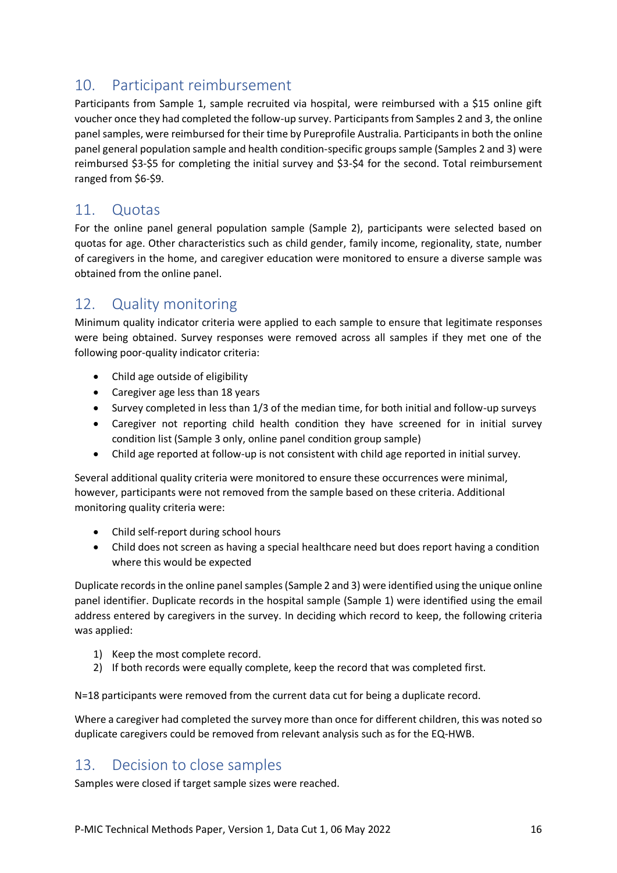# <span id="page-16-0"></span>10. Participant reimbursement

Participants from Sample 1, sample recruited via hospital, were reimbursed with a \$15 online gift voucher once they had completed the follow-up survey. Participants from Samples 2 and 3, the online panel samples, were reimbursed for their time by Pureprofile Australia. Participants in both the online panel general population sample and health condition-specific groups sample (Samples 2 and 3) were reimbursed \$3-\$5 for completing the initial survey and \$3-\$4 for the second. Total reimbursement ranged from \$6-\$9.

## <span id="page-16-1"></span>11. Quotas

For the online panel general population sample (Sample 2), participants were selected based on quotas for age. Other characteristics such as child gender, family income, regionality, state, number of caregivers in the home, and caregiver education were monitored to ensure a diverse sample was obtained from the online panel.

# <span id="page-16-2"></span>12. Quality monitoring

Minimum quality indicator criteria were applied to each sample to ensure that legitimate responses were being obtained. Survey responses were removed across all samples if they met one of the following poor-quality indicator criteria:

- Child age outside of eligibility
- Caregiver age less than 18 years
- Survey completed in less than 1/3 of the median time, for both initial and follow-up surveys
- Caregiver not reporting child health condition they have screened for in initial survey condition list (Sample 3 only, online panel condition group sample)
- Child age reported at follow-up is not consistent with child age reported in initial survey.

Several additional quality criteria were monitored to ensure these occurrences were minimal, however, participants were not removed from the sample based on these criteria. Additional monitoring quality criteria were:

- Child self-report during school hours
- Child does not screen as having a special healthcare need but does report having a condition where this would be expected

Duplicate records in the online panel samples (Sample 2 and 3) were identified using the unique online panel identifier. Duplicate records in the hospital sample (Sample 1) were identified using the email address entered by caregivers in the survey. In deciding which record to keep, the following criteria was applied:

- 1) Keep the most complete record.
- 2) If both records were equally complete, keep the record that was completed first.

N=18 participants were removed from the current data cut for being a duplicate record.

Where a caregiver had completed the survey more than once for different children, this was noted so duplicate caregivers could be removed from relevant analysis such as for the EQ-HWB.

## <span id="page-16-3"></span>13. Decision to close samples

Samples were closed if target sample sizes were reached.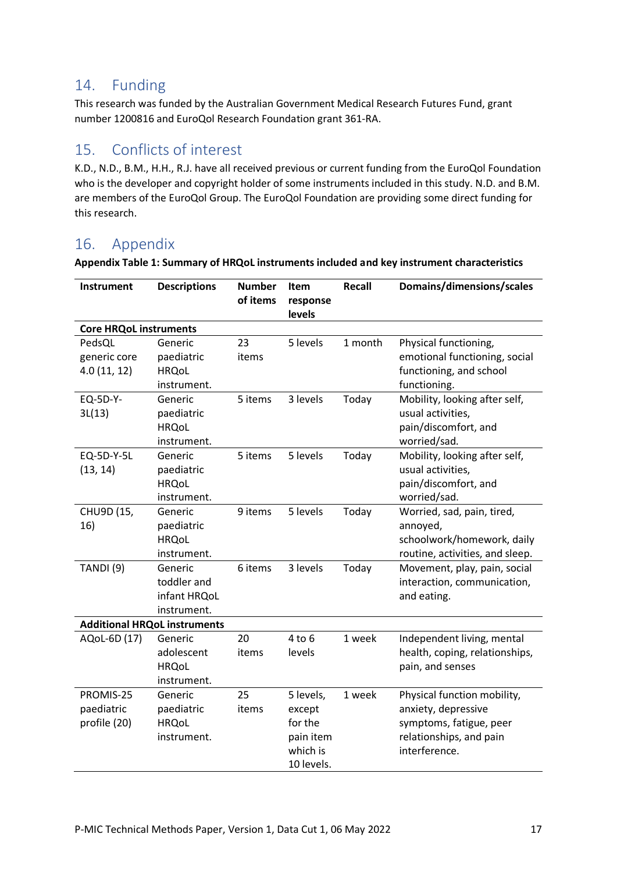## <span id="page-17-0"></span>14. Funding

This research was funded by the Australian Government Medical Research Futures Fund, grant number 1200816 and EuroQol Research Foundation grant 361-RA.

# <span id="page-17-1"></span>15. Conflicts of interest

K.D., N.D., B.M., H.H., R.J. have all received previous or current funding from the EuroQol Foundation who is the developer and copyright holder of some instruments included in this study. N.D. and B.M. are members of the EuroQol Group. The EuroQol Foundation are providing some direct funding for this research.

# <span id="page-17-2"></span>16. Appendix

| <b>Instrument</b>             | <b>Descriptions</b>                 | <b>Number</b> | Item       | <b>Recall</b> | Domains/dimensions/scales       |
|-------------------------------|-------------------------------------|---------------|------------|---------------|---------------------------------|
|                               |                                     | of items      | response   |               |                                 |
|                               |                                     |               | levels     |               |                                 |
| <b>Core HRQoL instruments</b> |                                     |               |            |               |                                 |
| PedsQL                        | Generic                             | 23            | 5 levels   | 1 month       | Physical functioning,           |
| generic core                  | paediatric                          | items         |            |               | emotional functioning, social   |
| 4.0(11, 12)                   | <b>HRQoL</b>                        |               |            |               | functioning, and school         |
|                               | instrument.                         |               |            |               | functioning.                    |
| EQ-5D-Y-                      | Generic                             | 5 items       | 3 levels   | Today         | Mobility, looking after self,   |
| 3L(13)                        | paediatric                          |               |            |               | usual activities,               |
|                               | <b>HRQoL</b>                        |               |            |               | pain/discomfort, and            |
|                               | instrument.                         |               |            |               | worried/sad.                    |
| EQ-5D-Y-5L                    | Generic                             | 5 items       | 5 levels   | Today         | Mobility, looking after self,   |
| (13, 14)                      | paediatric                          |               |            |               | usual activities,               |
|                               | <b>HRQoL</b>                        |               |            |               | pain/discomfort, and            |
|                               | instrument.                         |               |            |               | worried/sad.                    |
| CHU9D (15,                    | Generic                             | 9 items       | 5 levels   | Today         | Worried, sad, pain, tired,      |
| 16)                           | paediatric                          |               |            |               | annoyed,                        |
|                               | <b>HRQoL</b>                        |               |            |               | schoolwork/homework, daily      |
|                               | instrument.                         |               |            |               | routine, activities, and sleep. |
| TANDI(9)                      | Generic                             | 6 items       | 3 levels   | Today         | Movement, play, pain, social    |
|                               | toddler and                         |               |            |               | interaction, communication,     |
|                               | infant HRQoL                        |               |            |               | and eating.                     |
|                               | instrument.                         |               |            |               |                                 |
|                               | <b>Additional HRQoL instruments</b> |               |            |               |                                 |
| AQoL-6D (17)                  | Generic                             | 20            | $4$ to $6$ | 1 week        | Independent living, mental      |
|                               | adolescent                          | items         | levels     |               | health, coping, relationships,  |
|                               | <b>HRQoL</b>                        |               |            |               | pain, and senses                |
|                               | instrument.                         |               |            |               |                                 |
| PROMIS-25                     | Generic                             | 25            | 5 levels,  | 1 week        | Physical function mobility,     |
| paediatric                    | paediatric                          | items         | except     |               | anxiety, depressive             |
| profile (20)                  | <b>HRQoL</b>                        |               | for the    |               | symptoms, fatigue, peer         |
|                               | instrument.                         |               | pain item  |               | relationships, and pain         |
|                               |                                     |               | which is   |               | interference.                   |
|                               |                                     |               | 10 levels. |               |                                 |

**Appendix Table 1: Summary of HRQoL instruments included and key instrument characteristics**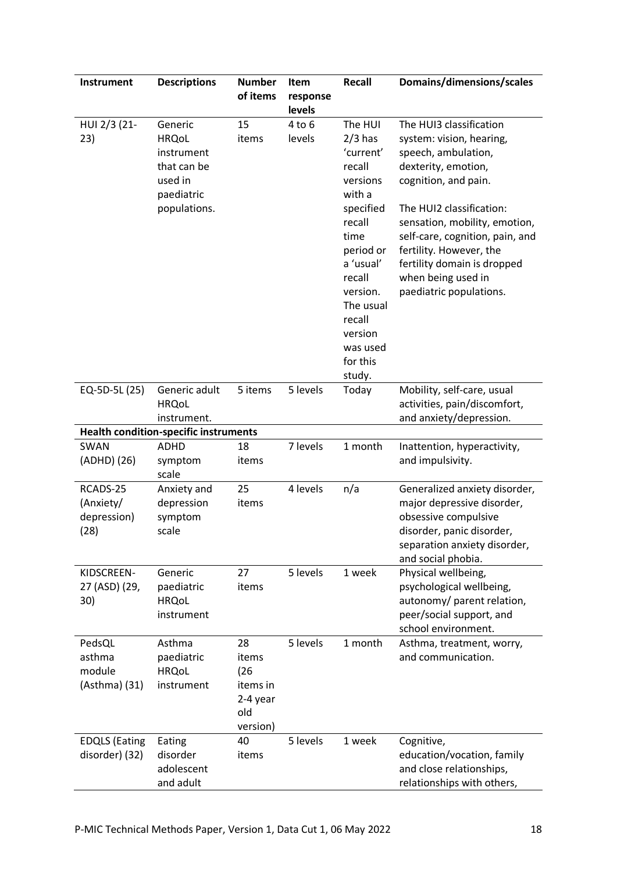| <b>Instrument</b>                            | <b>Descriptions</b>                                                                           | <b>Number</b><br>of items                                      | Item<br>response               | Recall                                                                                                                                                                                                               | Domains/dimensions/scales                                                                                                                                                                                                                                                                                                            |
|----------------------------------------------|-----------------------------------------------------------------------------------------------|----------------------------------------------------------------|--------------------------------|----------------------------------------------------------------------------------------------------------------------------------------------------------------------------------------------------------------------|--------------------------------------------------------------------------------------------------------------------------------------------------------------------------------------------------------------------------------------------------------------------------------------------------------------------------------------|
| HUI 2/3 (21-<br>23)                          | Generic<br><b>HRQoL</b><br>instrument<br>that can be<br>used in<br>paediatric<br>populations. | 15<br>items                                                    | levels<br>$4$ to $6$<br>levels | The HUI<br>$2/3$ has<br>'current'<br>recall<br>versions<br>with a<br>specified<br>recall<br>time<br>period or<br>a 'usual'<br>recall<br>version.<br>The usual<br>recall<br>version<br>was used<br>for this<br>study. | The HUI3 classification<br>system: vision, hearing,<br>speech, ambulation,<br>dexterity, emotion,<br>cognition, and pain.<br>The HUI2 classification:<br>sensation, mobility, emotion,<br>self-care, cognition, pain, and<br>fertility. However, the<br>fertility domain is dropped<br>when being used in<br>paediatric populations. |
| EQ-5D-5L (25)                                | Generic adult<br><b>HRQoL</b><br>instrument.                                                  | 5 items                                                        | 5 levels                       | Today                                                                                                                                                                                                                | Mobility, self-care, usual<br>activities, pain/discomfort,<br>and anxiety/depression.                                                                                                                                                                                                                                                |
|                                              | <b>Health condition-specific instruments</b>                                                  |                                                                |                                |                                                                                                                                                                                                                      |                                                                                                                                                                                                                                                                                                                                      |
| SWAN<br>(ADHD) (26)                          | <b>ADHD</b><br>symptom<br>scale                                                               | 18<br>items                                                    | 7 levels                       | 1 month                                                                                                                                                                                                              | Inattention, hyperactivity,<br>and impulsivity.                                                                                                                                                                                                                                                                                      |
| RCADS-25<br>(Anxiety/<br>depression)<br>(28) | Anxiety and<br>depression<br>symptom<br>scale                                                 | 25<br>items                                                    | 4 levels                       | n/a                                                                                                                                                                                                                  | Generalized anxiety disorder,<br>major depressive disorder,<br>obsessive compulsive<br>disorder, panic disorder,<br>separation anxiety disorder,<br>and social phobia.                                                                                                                                                               |
| KIDSCREEN-<br>27 (ASD) (29,<br>30)           | Generic<br>paediatric<br><b>HRQoL</b><br>instrument                                           | 27<br>items                                                    | 5 levels                       | 1 week                                                                                                                                                                                                               | Physical wellbeing,<br>psychological wellbeing,<br>autonomy/ parent relation,<br>peer/social support, and<br>school environment.                                                                                                                                                                                                     |
| PedsQL<br>asthma<br>module<br>(Asthma) (31)  | Asthma<br>paediatric<br><b>HRQoL</b><br>instrument                                            | 28<br>items<br>(26)<br>items in<br>2-4 year<br>old<br>version) | 5 levels                       | 1 month                                                                                                                                                                                                              | Asthma, treatment, worry,<br>and communication.                                                                                                                                                                                                                                                                                      |
| <b>EDQLS (Eating</b><br>disorder) (32)       | Eating<br>disorder<br>adolescent<br>and adult                                                 | 40<br>items                                                    | 5 levels                       | 1 week                                                                                                                                                                                                               | Cognitive,<br>education/vocation, family<br>and close relationships,<br>relationships with others,                                                                                                                                                                                                                                   |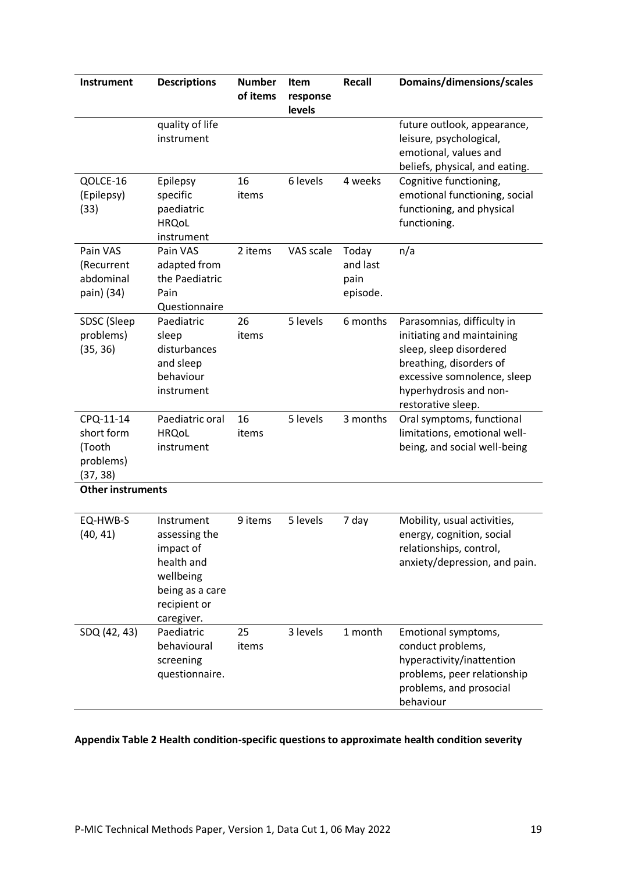| <b>Instrument</b>                                          | <b>Descriptions</b>                                                                                                  | <b>Number</b><br>of items | <b>Item</b><br>response<br>levels | Recall                                | Domains/dimensions/scales                                                                                                                                                                     |  |
|------------------------------------------------------------|----------------------------------------------------------------------------------------------------------------------|---------------------------|-----------------------------------|---------------------------------------|-----------------------------------------------------------------------------------------------------------------------------------------------------------------------------------------------|--|
|                                                            | quality of life<br>instrument                                                                                        |                           |                                   |                                       | future outlook, appearance,<br>leisure, psychological,<br>emotional, values and<br>beliefs, physical, and eating.                                                                             |  |
| QOLCE-16<br>(Epilepsy)<br>(33)                             | Epilepsy<br>specific<br>paediatric<br><b>HRQoL</b><br>instrument                                                     | 16<br>items               | 6 levels                          | 4 weeks                               | Cognitive functioning,<br>emotional functioning, social<br>functioning, and physical<br>functioning.                                                                                          |  |
| Pain VAS<br>(Recurrent<br>abdominal<br>pain) (34)          | Pain VAS<br>adapted from<br>the Paediatric<br>Pain<br>Questionnaire                                                  | 2 items                   | VAS scale                         | Today<br>and last<br>pain<br>episode. | n/a                                                                                                                                                                                           |  |
| SDSC (Sleep<br>problems)<br>(35, 36)                       | Paediatric<br>sleep<br>disturbances<br>and sleep<br>behaviour<br>instrument                                          | 26<br>items               | 5 levels                          | 6 months                              | Parasomnias, difficulty in<br>initiating and maintaining<br>sleep, sleep disordered<br>breathing, disorders of<br>excessive somnolence, sleep<br>hyperhydrosis and non-<br>restorative sleep. |  |
| CPQ-11-14<br>short form<br>(Tooth<br>problems)<br>(37, 38) | Paediatric oral<br><b>HRQoL</b><br>instrument                                                                        | 16<br>items               | 5 levels                          | 3 months                              | Oral symptoms, functional<br>limitations, emotional well-<br>being, and social well-being                                                                                                     |  |
| <b>Other instruments</b>                                   |                                                                                                                      |                           |                                   |                                       |                                                                                                                                                                                               |  |
| EQ-HWB-S<br>(40, 41)                                       | Instrument<br>assessing the<br>impact of<br>health and<br>wellbeing<br>being as a care<br>recipient or<br>caregiver. | 9 items                   | 5 levels                          | 7 day                                 | Mobility, usual activities,<br>energy, cognition, social<br>relationships, control,<br>anxiety/depression, and pain.                                                                          |  |
| SDQ (42, 43)                                               | Paediatric<br>behavioural<br>screening<br>questionnaire.                                                             | 25<br>items               | 3 levels                          | 1 month                               | Emotional symptoms,<br>conduct problems,<br>hyperactivity/inattention<br>problems, peer relationship<br>problems, and prosocial<br>behaviour                                                  |  |

### **Appendix Table 2 Health condition-specific questions to approximate health condition severity**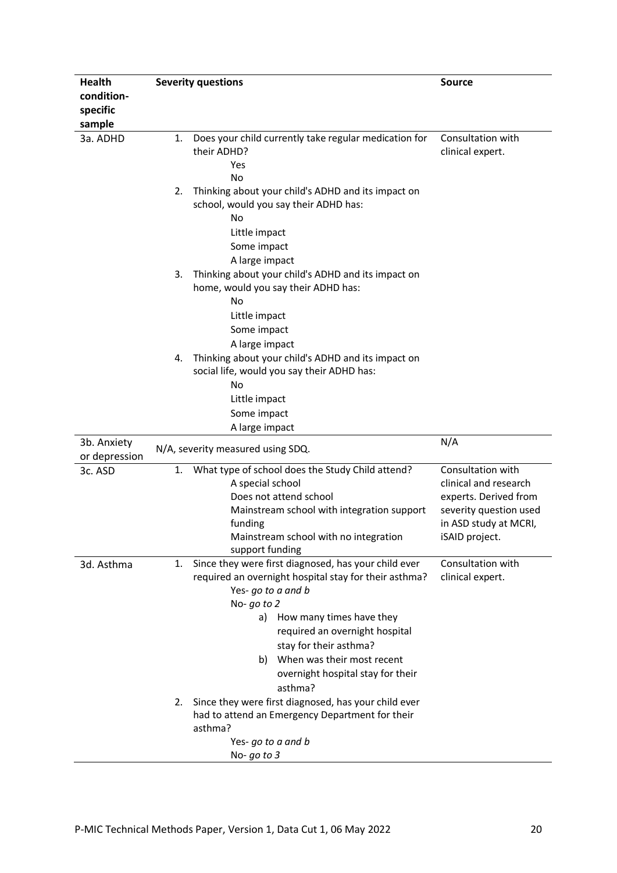| <b>Health</b> | <b>Severity questions</b>                                                                                                                                                                                                                                                                                                                                                                                                                                                                  | <b>Source</b>                                                                                                                            |  |
|---------------|--------------------------------------------------------------------------------------------------------------------------------------------------------------------------------------------------------------------------------------------------------------------------------------------------------------------------------------------------------------------------------------------------------------------------------------------------------------------------------------------|------------------------------------------------------------------------------------------------------------------------------------------|--|
| condition-    |                                                                                                                                                                                                                                                                                                                                                                                                                                                                                            |                                                                                                                                          |  |
| specific      |                                                                                                                                                                                                                                                                                                                                                                                                                                                                                            |                                                                                                                                          |  |
| sample        |                                                                                                                                                                                                                                                                                                                                                                                                                                                                                            |                                                                                                                                          |  |
| 3a. ADHD      | Does your child currently take regular medication for<br>1.<br>their ADHD?<br>Yes<br>No                                                                                                                                                                                                                                                                                                                                                                                                    | Consultation with<br>clinical expert.                                                                                                    |  |
|               | Thinking about your child's ADHD and its impact on<br>2.<br>school, would you say their ADHD has:<br>No<br>Little impact<br>Some impact<br>A large impact                                                                                                                                                                                                                                                                                                                                  |                                                                                                                                          |  |
|               | Thinking about your child's ADHD and its impact on<br>3.<br>home, would you say their ADHD has:<br>No<br>Little impact<br>Some impact<br>A large impact                                                                                                                                                                                                                                                                                                                                    |                                                                                                                                          |  |
|               | Thinking about your child's ADHD and its impact on<br>4.<br>social life, would you say their ADHD has:<br>No<br>Little impact<br>Some impact<br>A large impact                                                                                                                                                                                                                                                                                                                             |                                                                                                                                          |  |
| 3b. Anxiety   |                                                                                                                                                                                                                                                                                                                                                                                                                                                                                            | N/A                                                                                                                                      |  |
| or depression | N/A, severity measured using SDQ.                                                                                                                                                                                                                                                                                                                                                                                                                                                          |                                                                                                                                          |  |
| 3c. ASD       | What type of school does the Study Child attend?<br>1.<br>A special school<br>Does not attend school<br>Mainstream school with integration support<br>funding<br>Mainstream school with no integration<br>support funding                                                                                                                                                                                                                                                                  | Consultation with<br>clinical and research<br>experts. Derived from<br>severity question used<br>in ASD study at MCRI,<br>iSAID project. |  |
| 3d. Asthma    | Since they were first diagnosed, has your child ever<br>1.<br>required an overnight hospital stay for their asthma?<br>Yes- go to a and b<br>No-go to 2<br>How many times have they<br>a)<br>required an overnight hospital<br>stay for their asthma?<br>When was their most recent<br>b)<br>overnight hospital stay for their<br>asthma?<br>Since they were first diagnosed, has your child ever<br>2.<br>had to attend an Emergency Department for their<br>asthma?<br>Yes-go to a and b | Consultation with<br>clinical expert.                                                                                                    |  |
|               | No-go to $3$                                                                                                                                                                                                                                                                                                                                                                                                                                                                               |                                                                                                                                          |  |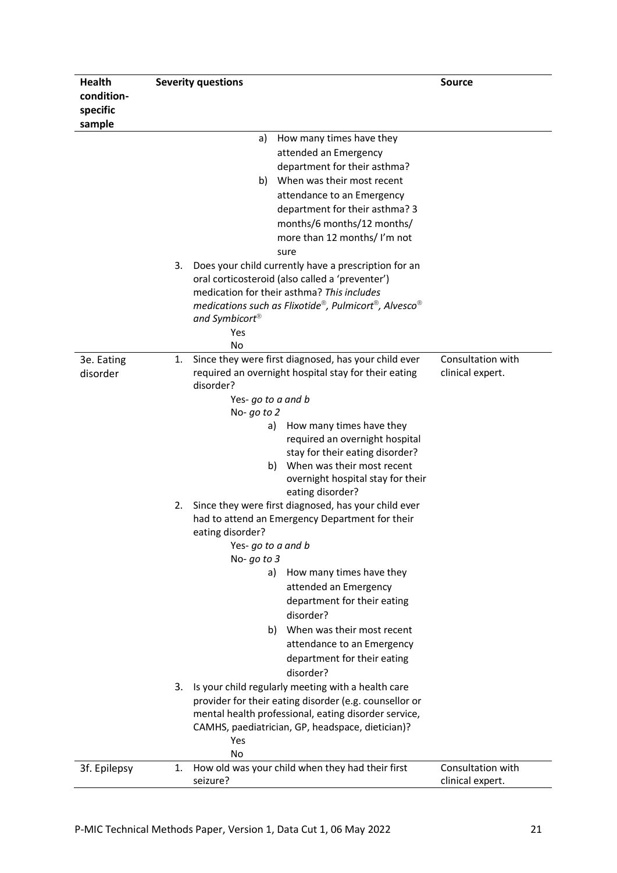| <b>Health</b> |    | <b>Severity questions</b>                                                                               | <b>Source</b>     |
|---------------|----|---------------------------------------------------------------------------------------------------------|-------------------|
| condition-    |    |                                                                                                         |                   |
| specific      |    |                                                                                                         |                   |
| sample        |    |                                                                                                         |                   |
|               |    | a)<br>How many times have they                                                                          |                   |
|               |    | attended an Emergency                                                                                   |                   |
|               |    | department for their asthma?                                                                            |                   |
|               |    | When was their most recent<br>b)                                                                        |                   |
|               |    | attendance to an Emergency                                                                              |                   |
|               |    | department for their asthma? 3<br>months/6 months/12 months/                                            |                   |
|               |    | more than 12 months/ I'm not                                                                            |                   |
|               |    | sure                                                                                                    |                   |
|               | 3. | Does your child currently have a prescription for an                                                    |                   |
|               |    | oral corticosteroid (also called a 'preventer')                                                         |                   |
|               |    | medication for their asthma? This includes                                                              |                   |
|               |    | medications such as Flixotide®, Pulmicort®, Alvesco®                                                    |                   |
|               |    | and Symbicort <sup>®</sup>                                                                              |                   |
|               |    | Yes                                                                                                     |                   |
|               |    | No                                                                                                      |                   |
| 3e. Eating    | 1. | Since they were first diagnosed, has your child ever                                                    | Consultation with |
| disorder      |    | required an overnight hospital stay for their eating<br>disorder?                                       | clinical expert.  |
|               |    | Yes-go to a and b                                                                                       |                   |
|               |    | No- $go$ to $2$                                                                                         |                   |
|               |    | How many times have they<br>a)                                                                          |                   |
|               |    | required an overnight hospital                                                                          |                   |
|               |    | stay for their eating disorder?                                                                         |                   |
|               |    | b) When was their most recent                                                                           |                   |
|               |    | overnight hospital stay for their                                                                       |                   |
|               |    | eating disorder?                                                                                        |                   |
|               | 2. | Since they were first diagnosed, has your child ever<br>had to attend an Emergency Department for their |                   |
|               |    | eating disorder?                                                                                        |                   |
|               |    | Yes-go to a and b                                                                                       |                   |
|               |    | No- $go$ to $3$                                                                                         |                   |
|               |    | How many times have they<br>a)                                                                          |                   |
|               |    | attended an Emergency                                                                                   |                   |
|               |    | department for their eating                                                                             |                   |
|               |    | disorder?                                                                                               |                   |
|               |    | b) When was their most recent                                                                           |                   |
|               |    | attendance to an Emergency                                                                              |                   |
|               |    | department for their eating                                                                             |                   |
|               |    | disorder?                                                                                               |                   |
|               | 3. | Is your child regularly meeting with a health care                                                      |                   |
|               |    | provider for their eating disorder (e.g. counsellor or                                                  |                   |
|               |    | mental health professional, eating disorder service,                                                    |                   |
|               |    | CAMHS, paediatrician, GP, headspace, dietician)?<br>Yes                                                 |                   |
|               |    | No                                                                                                      |                   |
| 3f. Epilepsy  | 1. | How old was your child when they had their first                                                        | Consultation with |
|               |    | seizure?                                                                                                | clinical expert.  |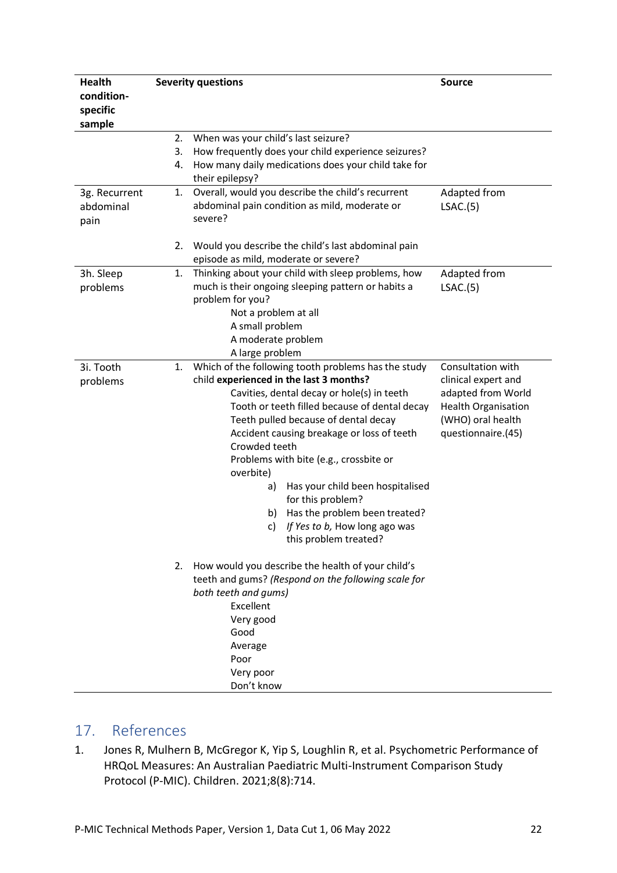| <b>Health</b> |    | <b>Severity questions</b>                                                   | <b>Source</b>              |
|---------------|----|-----------------------------------------------------------------------------|----------------------------|
| condition-    |    |                                                                             |                            |
| specific      |    |                                                                             |                            |
| sample        |    |                                                                             |                            |
|               | 2. | When was your child's last seizure?                                         |                            |
|               | 3. | How frequently does your child experience seizures?                         |                            |
|               | 4. | How many daily medications does your child take for                         |                            |
|               |    | their epilepsy?                                                             |                            |
| 3g. Recurrent | 1. | Overall, would you describe the child's recurrent                           | Adapted from               |
| abdominal     |    | abdominal pain condition as mild, moderate or                               | LSAC.(5)                   |
| pain          |    | severe?                                                                     |                            |
|               |    |                                                                             |                            |
|               | 2. | Would you describe the child's last abdominal pain                          |                            |
|               |    | episode as mild, moderate or severe?                                        |                            |
| 3h. Sleep     | 1. | Thinking about your child with sleep problems, how                          | Adapted from               |
| problems      |    | much is their ongoing sleeping pattern or habits a<br>problem for you?      | LSAC.(5)                   |
|               |    | Not a problem at all                                                        |                            |
|               |    | A small problem                                                             |                            |
|               |    | A moderate problem                                                          |                            |
|               |    | A large problem                                                             |                            |
| 3i. Tooth     | 1. | Which of the following tooth problems has the study                         | Consultation with          |
| problems      |    | child experienced in the last 3 months?                                     | clinical expert and        |
|               |    | Cavities, dental decay or hole(s) in teeth                                  | adapted from World         |
|               |    | Tooth or teeth filled because of dental decay                               | <b>Health Organisation</b> |
|               |    | Teeth pulled because of dental decay                                        | (WHO) oral health          |
|               |    | Accident causing breakage or loss of teeth                                  | questionnaire.(45)         |
|               |    | Crowded teeth                                                               |                            |
|               |    | Problems with bite (e.g., crossbite or                                      |                            |
|               |    | overbite)                                                                   |                            |
|               |    | Has your child been hospitalised<br>a)                                      |                            |
|               |    | for this problem?                                                           |                            |
|               |    | Has the problem been treated?<br>b)                                         |                            |
|               |    | If Yes to b, How long ago was<br>C)                                         |                            |
|               |    | this problem treated?                                                       |                            |
|               |    |                                                                             |                            |
|               | 2. | How would you describe the health of your child's                           |                            |
|               |    | teeth and gums? (Respond on the following scale for<br>both teeth and gums) |                            |
|               |    | Excellent                                                                   |                            |
|               |    | Very good                                                                   |                            |
|               |    | Good                                                                        |                            |
|               |    | Average                                                                     |                            |
|               |    | Poor                                                                        |                            |
|               |    | Very poor                                                                   |                            |
|               |    | Don't know                                                                  |                            |

# <span id="page-22-0"></span>17. References

1. Jones R, Mulhern B, McGregor K, Yip S, Loughlin R, et al. Psychometric Performance of HRQoL Measures: An Australian Paediatric Multi-Instrument Comparison Study Protocol (P-MIC). Children. 2021;8(8):714.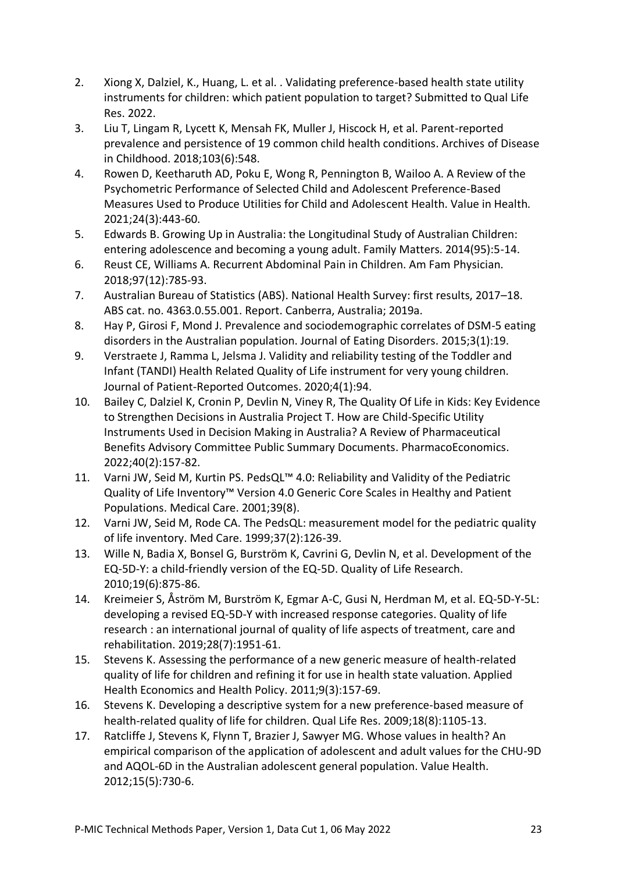- 2. Xiong X, Dalziel, K., Huang, L. et al. . Validating preference-based health state utility instruments for children: which patient population to target? Submitted to Qual Life Res. 2022.
- 3. Liu T, Lingam R, Lycett K, Mensah FK, Muller J, Hiscock H, et al. Parent-reported prevalence and persistence of 19 common child health conditions. Archives of Disease in Childhood. 2018;103(6):548.
- 4. Rowen D, Keetharuth AD, Poku E, Wong R, Pennington B, Wailoo A. A Review of the Psychometric Performance of Selected Child and Adolescent Preference-Based Measures Used to Produce Utilities for Child and Adolescent Health. Value in Health. 2021;24(3):443-60.
- 5. Edwards B. Growing Up in Australia: the Longitudinal Study of Australian Children: entering adolescence and becoming a young adult. Family Matters. 2014(95):5-14.
- 6. Reust CE, Williams A. Recurrent Abdominal Pain in Children. Am Fam Physician. 2018;97(12):785-93.
- 7. Australian Bureau of Statistics (ABS). National Health Survey: first results, 2017–18. ABS cat. no. 4363.0.55.001. Report. Canberra, Australia; 2019a.
- 8. Hay P, Girosi F, Mond J. Prevalence and sociodemographic correlates of DSM-5 eating disorders in the Australian population. Journal of Eating Disorders. 2015;3(1):19.
- 9. Verstraete J, Ramma L, Jelsma J. Validity and reliability testing of the Toddler and Infant (TANDI) Health Related Quality of Life instrument for very young children. Journal of Patient-Reported Outcomes. 2020;4(1):94.
- 10. Bailey C, Dalziel K, Cronin P, Devlin N, Viney R, The Quality Of Life in Kids: Key Evidence to Strengthen Decisions in Australia Project T. How are Child-Specific Utility Instruments Used in Decision Making in Australia? A Review of Pharmaceutical Benefits Advisory Committee Public Summary Documents. PharmacoEconomics. 2022;40(2):157-82.
- 11. Varni JW, Seid M, Kurtin PS. PedsQL™ 4.0: Reliability and Validity of the Pediatric Quality of Life Inventory™ Version 4.0 Generic Core Scales in Healthy and Patient Populations. Medical Care. 2001;39(8).
- 12. Varni JW, Seid M, Rode CA. The PedsQL: measurement model for the pediatric quality of life inventory. Med Care. 1999;37(2):126-39.
- 13. Wille N, Badia X, Bonsel G, Burström K, Cavrini G, Devlin N, et al. Development of the EQ-5D-Y: a child-friendly version of the EQ-5D. Quality of Life Research. 2010;19(6):875-86.
- 14. Kreimeier S, Åström M, Burström K, Egmar A-C, Gusi N, Herdman M, et al. EQ-5D-Y-5L: developing a revised EQ-5D-Y with increased response categories. Quality of life research : an international journal of quality of life aspects of treatment, care and rehabilitation. 2019;28(7):1951-61.
- 15. Stevens K. Assessing the performance of a new generic measure of health-related quality of life for children and refining it for use in health state valuation. Applied Health Economics and Health Policy. 2011;9(3):157-69.
- 16. Stevens K. Developing a descriptive system for a new preference-based measure of health-related quality of life for children. Qual Life Res. 2009;18(8):1105-13.
- 17. Ratcliffe J, Stevens K, Flynn T, Brazier J, Sawyer MG. Whose values in health? An empirical comparison of the application of adolescent and adult values for the CHU-9D and AQOL-6D in the Australian adolescent general population. Value Health. 2012;15(5):730-6.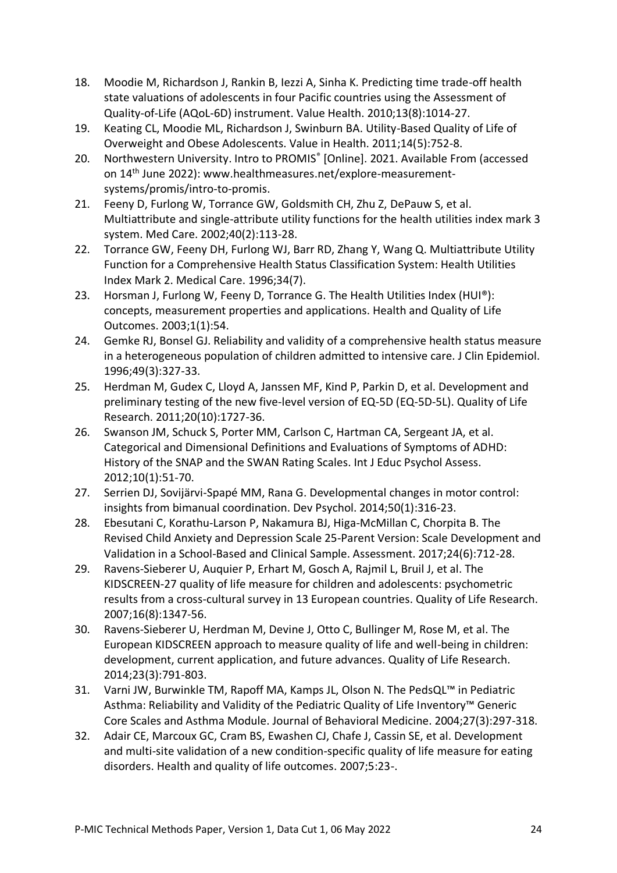- 18. Moodie M, Richardson J, Rankin B, Iezzi A, Sinha K. Predicting time trade-off health state valuations of adolescents in four Pacific countries using the Assessment of Quality-of-Life (AQoL-6D) instrument. Value Health. 2010;13(8):1014-27.
- 19. Keating CL, Moodie ML, Richardson J, Swinburn BA. Utility-Based Quality of Life of Overweight and Obese Adolescents. Value in Health. 2011;14(5):752-8.
- 20. Northwestern University. Intro to PROMIS® [Online]. 2021. Available From (accessed on 14th June 2022): www.healthmeasures.net/explore-measurementsystems/promis/intro-to-promis.
- 21. Feeny D, Furlong W, Torrance GW, Goldsmith CH, Zhu Z, DePauw S, et al. Multiattribute and single-attribute utility functions for the health utilities index mark 3 system. Med Care. 2002;40(2):113-28.
- 22. Torrance GW, Feeny DH, Furlong WJ, Barr RD, Zhang Y, Wang Q. Multiattribute Utility Function for a Comprehensive Health Status Classification System: Health Utilities Index Mark 2. Medical Care. 1996;34(7).
- 23. Horsman J, Furlong W, Feeny D, Torrance G. The Health Utilities Index (HUI®): concepts, measurement properties and applications. Health and Quality of Life Outcomes. 2003;1(1):54.
- 24. Gemke RJ, Bonsel GJ. Reliability and validity of a comprehensive health status measure in a heterogeneous population of children admitted to intensive care. J Clin Epidemiol. 1996;49(3):327-33.
- 25. Herdman M, Gudex C, Lloyd A, Janssen MF, Kind P, Parkin D, et al. Development and preliminary testing of the new five-level version of EQ-5D (EQ-5D-5L). Quality of Life Research. 2011;20(10):1727-36.
- 26. Swanson JM, Schuck S, Porter MM, Carlson C, Hartman CA, Sergeant JA, et al. Categorical and Dimensional Definitions and Evaluations of Symptoms of ADHD: History of the SNAP and the SWAN Rating Scales. Int J Educ Psychol Assess. 2012;10(1):51-70.
- 27. Serrien DJ, Sovijärvi-Spapé MM, Rana G. Developmental changes in motor control: insights from bimanual coordination. Dev Psychol. 2014;50(1):316-23.
- 28. Ebesutani C, Korathu-Larson P, Nakamura BJ, Higa-McMillan C, Chorpita B. The Revised Child Anxiety and Depression Scale 25-Parent Version: Scale Development and Validation in a School-Based and Clinical Sample. Assessment. 2017;24(6):712-28.
- 29. Ravens-Sieberer U, Auquier P, Erhart M, Gosch A, Rajmil L, Bruil J, et al. The KIDSCREEN-27 quality of life measure for children and adolescents: psychometric results from a cross-cultural survey in 13 European countries. Quality of Life Research. 2007;16(8):1347-56.
- 30. Ravens-Sieberer U, Herdman M, Devine J, Otto C, Bullinger M, Rose M, et al. The European KIDSCREEN approach to measure quality of life and well-being in children: development, current application, and future advances. Quality of Life Research. 2014;23(3):791-803.
- 31. Varni JW, Burwinkle TM, Rapoff MA, Kamps JL, Olson N. The PedsQL™ in Pediatric Asthma: Reliability and Validity of the Pediatric Quality of Life Inventory™ Generic Core Scales and Asthma Module. Journal of Behavioral Medicine. 2004;27(3):297-318.
- 32. Adair CE, Marcoux GC, Cram BS, Ewashen CJ, Chafe J, Cassin SE, et al. Development and multi-site validation of a new condition-specific quality of life measure for eating disorders. Health and quality of life outcomes. 2007;5:23-.